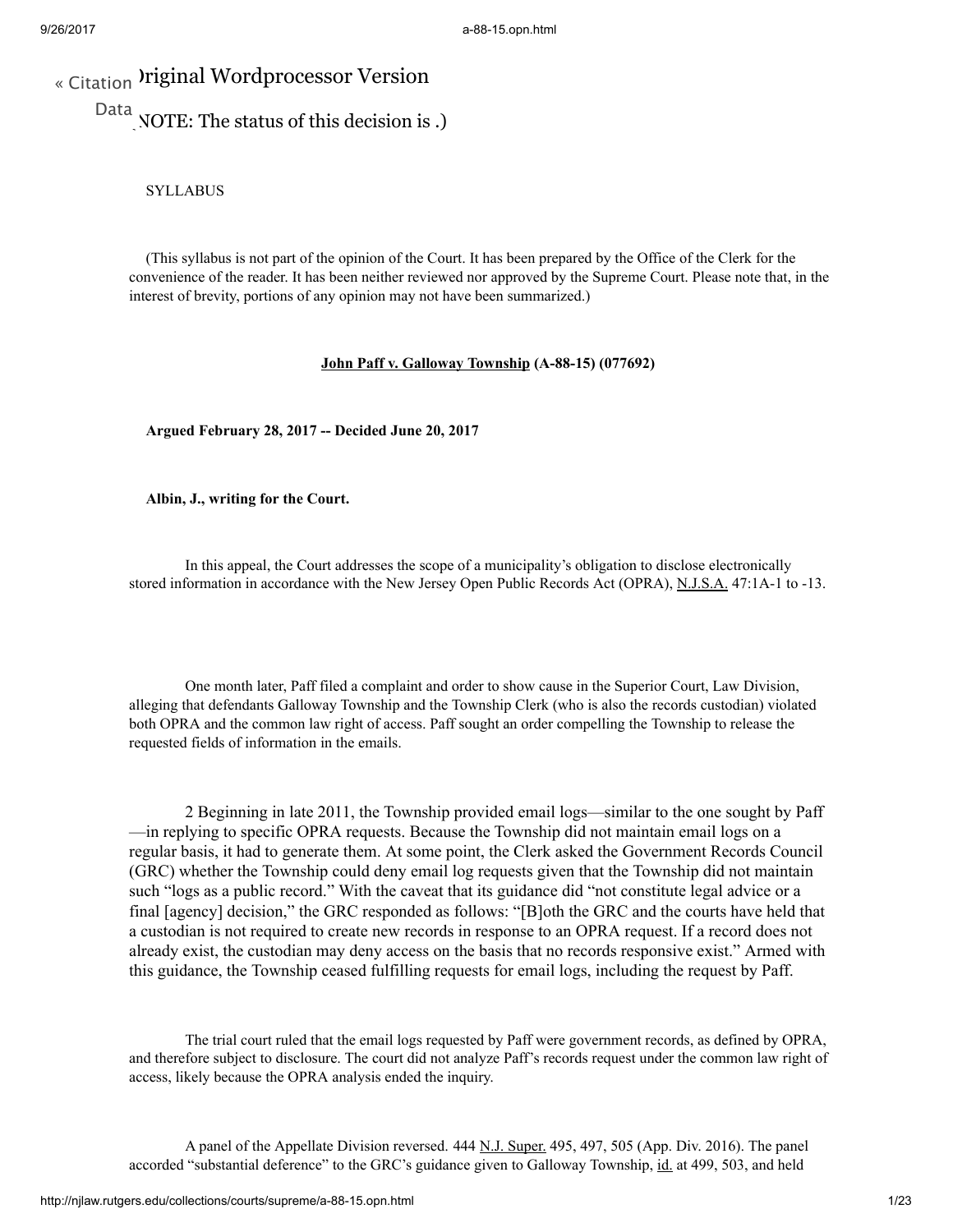# « [Citation](http://njlaw.rutgers.edu/cgi-bin/citation.cgi?file=/collections/courts/supreme/a-88-15.opn.html) Iriginal Wordprocessor Version

Data<sub>N</sub>OTE: The status of this decision is.)

SYLLABUS

(This syllabus is not part of the opinion of the Court. It has been prepared by the Office of the Clerk for the convenience of the reader. It has been neither reviewed nor approved by the Supreme Court. Please note that, in the interest of brevity, portions of any opinion may not have been summarized.)

## John Paff v. Galloway Township (A-88-15) (077692)

Argued February 28, 2017 -- Decided June 20, 2017

Albin, J., writing for the Court.

In this appeal, the Court addresses the scope of a municipality's obligation to disclose electronically stored information in accordance with the New Jersey Open Public Records Act (OPRA), N.J.S.A. 47:1A-1 to -13.

One month later, Paff filed a complaint and order to show cause in the Superior Court, Law Division, alleging that defendants Galloway Township and the Township Clerk (who is also the records custodian) violated both OPRA and the common law right of access. Paff sought an order compelling the Township to release the requested fields of information in the emails.

2 Beginning in late 2011, the Township provided email logs—similar to the one sought by Paff —in replying to specific OPRA requests. Because the Township did not maintain email logs on a regular basis, it had to generate them. At some point, the Clerk asked the Government Records Council (GRC) whether the Township could deny email log requests given that the Township did not maintain such "logs as a public record." With the caveat that its guidance did "not constitute legal advice or a final [agency] decision," the GRC responded as follows: "[B]oth the GRC and the courts have held that a custodian is not required to create new records in response to an OPRA request. If a record does not already exist, the custodian may deny access on the basis that no records responsive exist." Armed with this guidance, the Township ceased fulfilling requests for email logs, including the request by Paff.

The trial court ruled that the email logs requested by Paff were government records, as defined by OPRA, and therefore subject to disclosure. The court did not analyze Paff's records request under the common law right of access, likely because the OPRA analysis ended the inquiry.

A panel of the Appellate Division reversed. 444 N.J. Super. 495, 497, 505 (App. Div. 2016). The panel accorded "substantial deference" to the GRC's guidance given to Galloway Township, id. at 499, 503, and held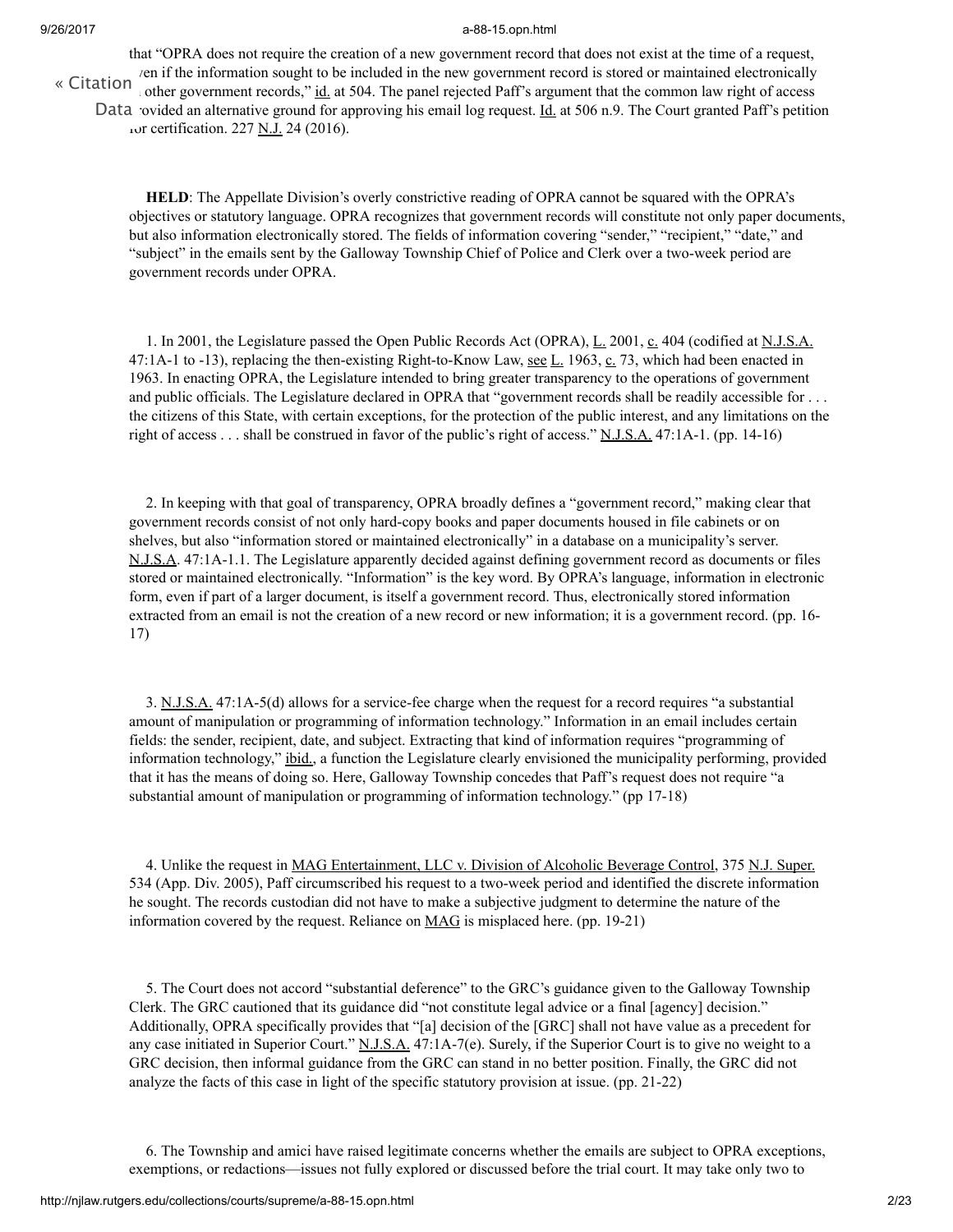that "OPRA does not require the creation of a new government record that does not exist at the time of a request,  $\gamma$ en if the information sought to be included in the new government record is stored or maintained electronically other government records," id. at 504. The panel rejected Paff's argument that the common law right of access Data ovided an alternative ground for approving his email log request. *Id.* at 506 n.9. The Court granted Paff's petition tor certification. 227 N.J. 24 (2016). « [Citation](http://njlaw.rutgers.edu/cgi-bin/citation.cgi?file=/collections/courts/supreme/a-88-15.opn.html)

HELD: The Appellate Division's overly constrictive reading of OPRA cannot be squared with the OPRA's objectives or statutory language. OPRA recognizes that government records will constitute not only paper documents, but also information electronically stored. The fields of information covering "sender," "recipient," "date," and "subject" in the emails sent by the Galloway Township Chief of Police and Clerk over a two-week period are government records under OPRA.

1. In 2001, the Legislature passed the Open Public Records Act (OPRA), L. 2001, c. 404 (codified at N.J.S.A. 47:1A-1 to -13), replacing the then-existing Right-to-Know Law, <u>see L.</u> 1963,  $\underline{c}$ , 73, which had been enacted in 1963. In enacting OPRA, the Legislature intended to bring greater transparency to the operations of government and public officials. The Legislature declared in OPRA that "government records shall be readily accessible for . . . the citizens of this State, with certain exceptions, for the protection of the public interest, and any limitations on the right of access . . . shall be construed in favor of the public's right of access." N.J.S.A. 47:1A-1. (pp. 14-16)

2. In keeping with that goal of transparency, OPRA broadly defines a "government record," making clear that government records consist of not only hard-copy books and paper documents housed in file cabinets or on shelves, but also "information stored or maintained electronically" in a database on a municipality's server. N.J.S.A. 47:1A-1.1. The Legislature apparently decided against defining government record as documents or files stored or maintained electronically. "Information" is the key word. By OPRA's language, information in electronic form, even if part of a larger document, is itself a government record. Thus, electronically stored information extracted from an email is not the creation of a new record or new information; it is a government record. (pp. 16- 17)

3. N.J.S.A. 47:1A-5(d) allows for a service-fee charge when the request for a record requires "a substantial amount of manipulation or programming of information technology." Information in an email includes certain fields: the sender, recipient, date, and subject. Extracting that kind of information requires "programming of information technology," ibid., a function the Legislature clearly envisioned the municipality performing, provided that it has the means of doing so. Here, Galloway Township concedes that Paff's request does not require "a substantial amount of manipulation or programming of information technology." (pp 17-18)

4. Unlike the request in MAG Entertainment, LLC v. Division of Alcoholic Beverage Control, 375 N.J. Super. 534 (App. Div. 2005), Paff circumscribed his request to a two-week period and identified the discrete information he sought. The records custodian did not have to make a subjective judgment to determine the nature of the information covered by the request. Reliance on **MAG** is misplaced here. (pp. 19-21)

5. The Court does not accord "substantial deference" to the GRC's guidance given to the Galloway Township Clerk. The GRC cautioned that its guidance did "not constitute legal advice or a final [agency] decision." Additionally, OPRA specifically provides that "[a] decision of the [GRC] shall not have value as a precedent for any case initiated in Superior Court." N.J.S.A. 47:1A-7(e). Surely, if the Superior Court is to give no weight to a GRC decision, then informal guidance from the GRC can stand in no better position. Finally, the GRC did not analyze the facts of this case in light of the specific statutory provision at issue. (pp. 21-22)

6. The Township and amici have raised legitimate concerns whether the emails are subject to OPRA exceptions, exemptions, or redactions—issues not fully explored or discussed before the trial court. It may take only two to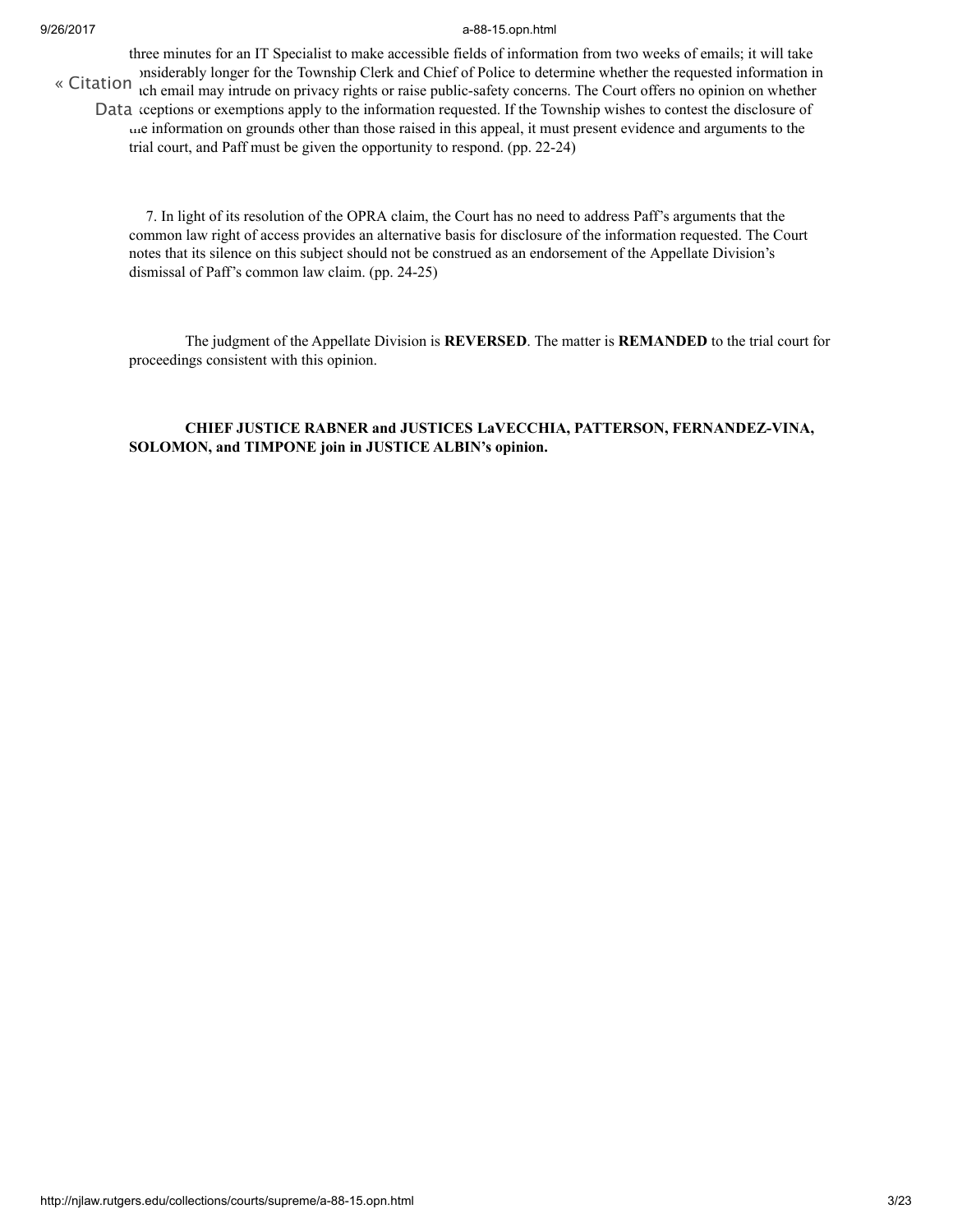three minutes for an IT Specialist to make accessible fields of information from two weeks of emails; it will take considerably longer for the Township Clerk and Chief of Police to determine whether the requested information in « [Citation](http://njlaw.rutgers.edu/cgi-bin/citation.cgi?file=/collections/courts/supreme/a-88-15.opn.html) interaction is the contract process and contract to the court of the court offers no opinion on whether Data ceptions or exemptions apply to the information requested. If the Township wishes to contest the disclosure of the information on grounds other than those raised in this appeal, it must present evidence and arguments to the trial court, and Paff must be given the opportunity to respond. (pp. 22-24)

7. In light of its resolution of the OPRA claim, the Court has no need to address Paff's arguments that the common law right of access provides an alternative basis for disclosure of the information requested. The Court notes that its silence on this subject should not be construed as an endorsement of the Appellate Division's dismissal of Paff's common law claim. (pp. 24-25)

The judgment of the Appellate Division is REVERSED. The matter is REMANDED to the trial court for proceedings consistent with this opinion.

## CHIEF JUSTICE RABNER and JUSTICES LaVECCHIA, PATTERSON, FERNANDEZ-VINA, SOLOMON, and TIMPONE join in JUSTICE ALBIN's opinion.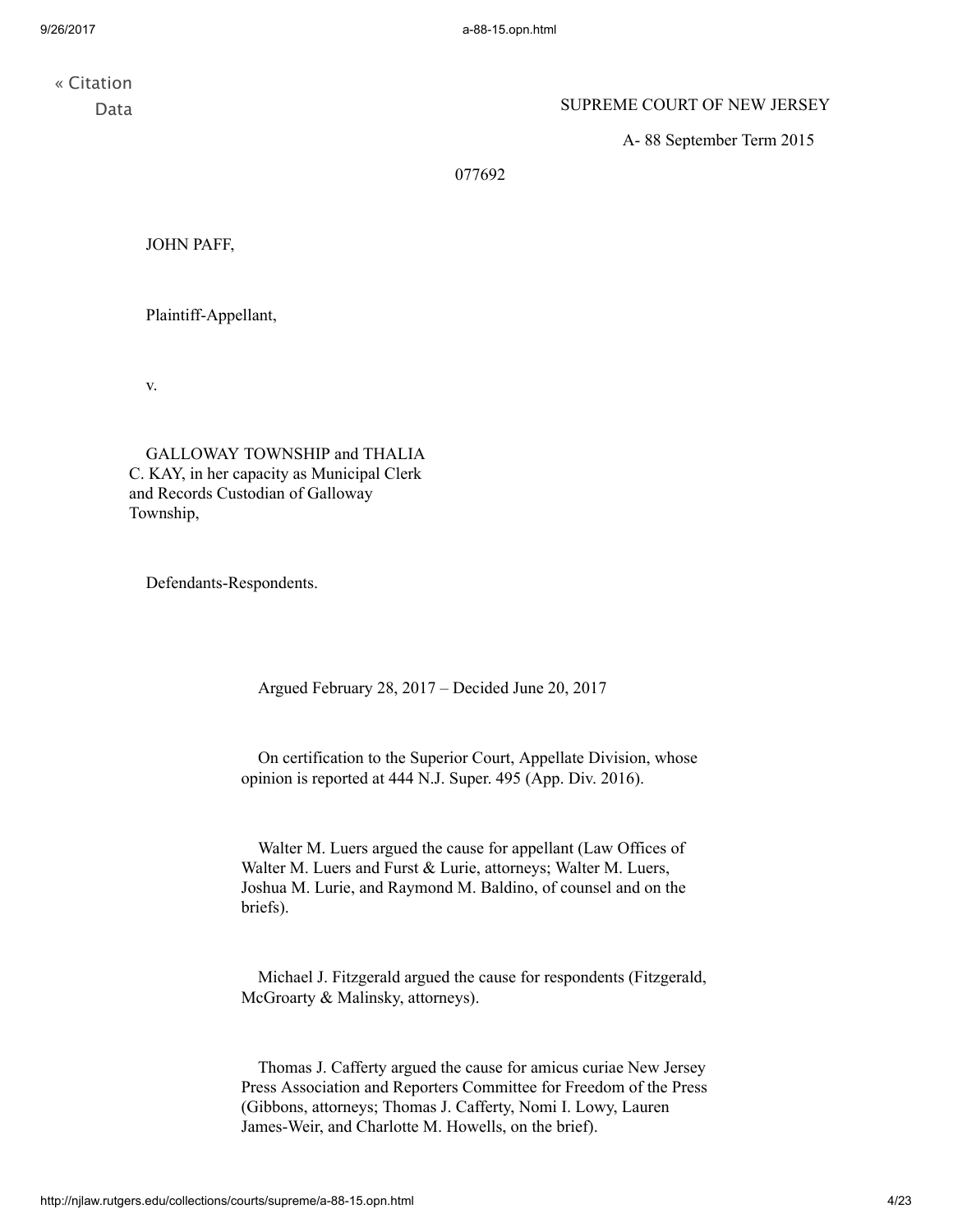« [Citation](http://njlaw.rutgers.edu/cgi-bin/citation.cgi?file=/collections/courts/supreme/a-88-15.opn.html) Data

## SUPREME COURT OF NEW JERSEY

A- 88 September Term 2015

077692

JOHN PAFF,

Plaintiff-Appellant,

v.

GALLOWAY TOWNSHIP and THALIA C. KAY, in her capacity as Municipal Clerk and Records Custodian of Galloway Township,

Defendants-Respondents.

Argued February 28, 2017 – Decided June 20, 2017

On certification to the Superior Court, Appellate Division, whose opinion is reported at 444 N.J. [Super.](http://njlaw.rutgers.edu/cgi-bin/caselink.cgi?cite=444%20N.J.Super.%20495) 495 (App. Div. 2016).

Walter M. Luers argued the cause for appellant (Law Offices of Walter M. Luers and Furst & Lurie, attorneys; Walter M. Luers, Joshua M. Lurie, and Raymond M. Baldino, of counsel and on the briefs).

Michael J. Fitzgerald argued the cause for respondents (Fitzgerald, McGroarty & Malinsky, attorneys).

Thomas J. Cafferty argued the cause for amicus curiae New Jersey Press Association and Reporters Committee for Freedom of the Press (Gibbons, attorneys; Thomas J. Cafferty, Nomi I. Lowy, Lauren James-Weir, and Charlotte M. Howells, on the brief).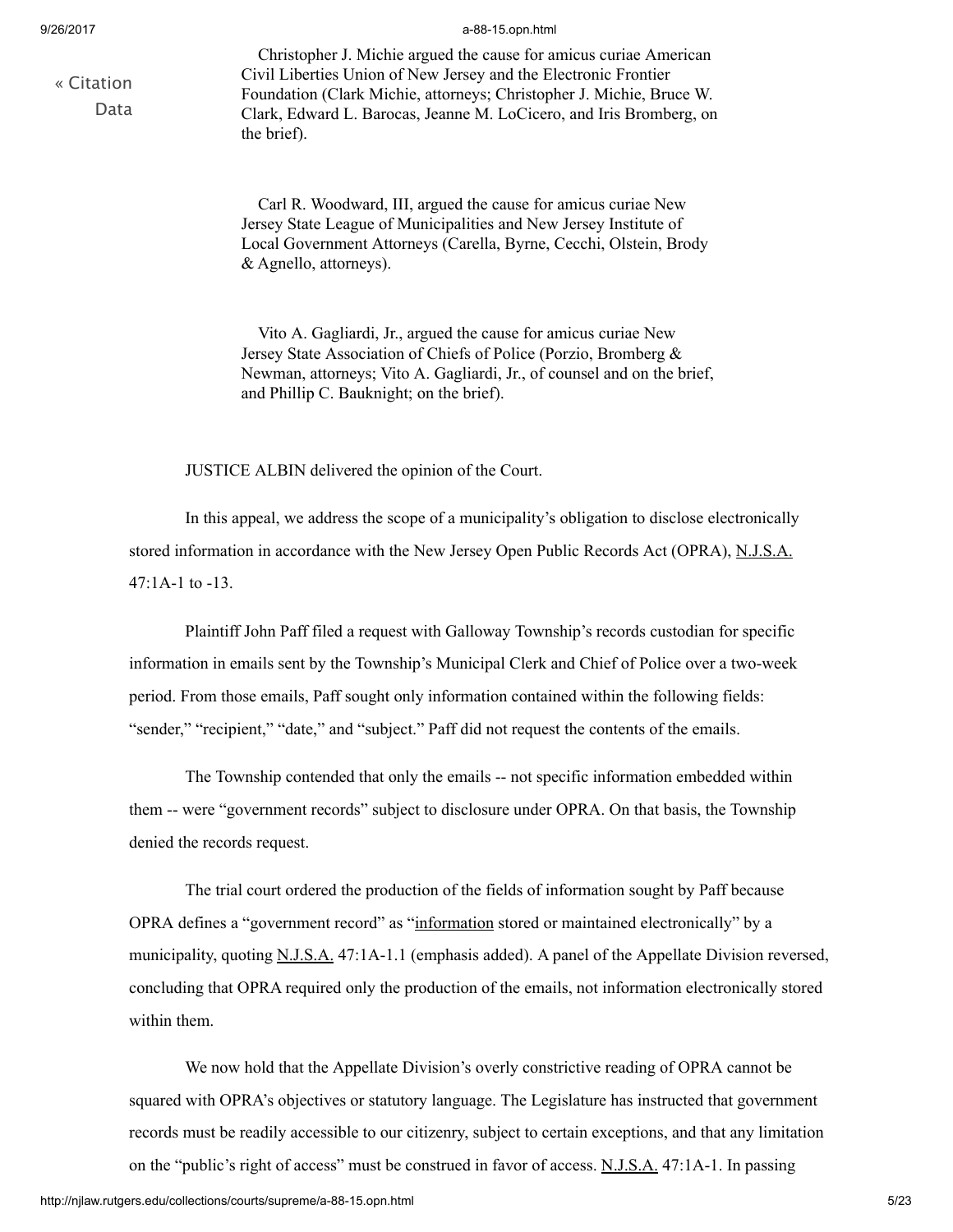« [Citation](http://njlaw.rutgers.edu/cgi-bin/citation.cgi?file=/collections/courts/supreme/a-88-15.opn.html) Data

#### 9/26/2017 a-88-15.opn.html

Christopher J. Michie argued the cause for amicus curiae American Civil Liberties Union of New Jersey and the Electronic Frontier Foundation (Clark Michie, attorneys; Christopher J. Michie, Bruce W. Clark, Edward L. Barocas, Jeanne M. LoCicero, and Iris Bromberg, on the brief).

Carl R. Woodward, III, argued the cause for amicus curiae New Jersey State League of Municipalities and New Jersey Institute of Local Government Attorneys (Carella, Byrne, Cecchi, Olstein, Brody & Agnello, attorneys).

Vito A. Gagliardi, Jr., argued the cause for amicus curiae New Jersey State Association of Chiefs of Police (Porzio, Bromberg & Newman, attorneys; Vito A. Gagliardi, Jr., of counsel and on the brief, and Phillip C. Bauknight; on the brief).

JUSTICE ALBIN delivered the opinion of the Court.

In this appeal, we address the scope of a municipality's obligation to disclose electronically stored information in accordance with the New Jersey Open Public Records Act (OPRA), [N.J.S.A.](http://njlaw.rutgers.edu/cgi-bin/njstats/showsect.cgi?title=47&chapter=1A§ion=1&actn=getsect) [47:1A-1](http://njlaw.rutgers.edu/cgi-bin/njstats/showsect.cgi?title=47&chapter=1A§ion=1&actn=getsect) to -13.

Plaintiff John Paff filed a request with Galloway Township's records custodian for specific information in emails sent by the Township's Municipal Clerk and Chief of Police over a two-week period. From those emails, Paff sought only information contained within the following fields: "sender," "recipient," "date," and "subject." Paff did not request the contents of the emails.

The Township contended that only the emails -- not specific information embedded within them -- were "government records" subject to disclosure under OPRA. On that basis, the Township denied the records request.

The trial court ordered the production of the fields of information sought by Paff because OPRA defines a "government record" as "information stored or maintained electronically" by a municipality, quoting [N.J.S.A.](http://njlaw.rutgers.edu/cgi-bin/njstats/showsect.cgi?title=47&chapter=1A§ion=1&actn=getsect) [47:1A-1.1](http://njlaw.rutgers.edu/cgi-bin/njstats/showsect.cgi?title=47&chapter=1A§ion=1&actn=getsect) (emphasis added). A panel of the Appellate Division reversed, concluding that OPRA required only the production of the emails, not information electronically stored within them.

We now hold that the Appellate Division's overly constrictive reading of OPRA cannot be squared with OPRA's objectives or statutory language. The Legislature has instructed that government records must be readily accessible to our citizenry, subject to certain exceptions, and that any limitation on the "public's right of access" must be construed in favor of access. [N.J.S.A.](http://njlaw.rutgers.edu/cgi-bin/njstats/showsect.cgi?title=47&chapter=1A§ion=1&actn=getsect) [47:1A-1.](http://njlaw.rutgers.edu/cgi-bin/njstats/showsect.cgi?title=47&chapter=1A§ion=1&actn=getsect) In passing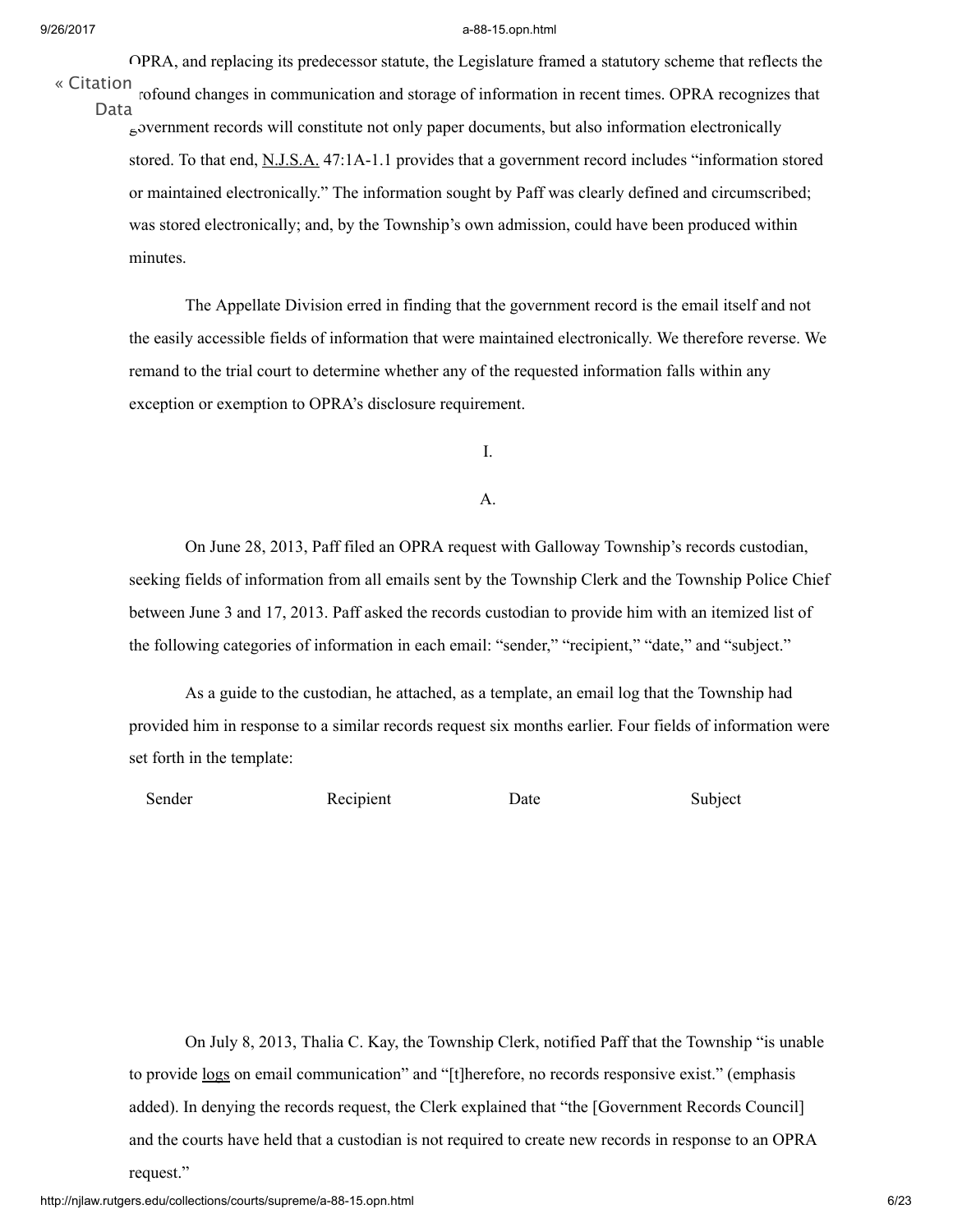OPRA, and replacing its predecessor statute, the Legislature framed a statutory scheme that reflects the

rofound changes in communication and storage of information in recent times. OPRA recognizes that government records will constitute not only paper documents, but also information electronically stored. To that end, [N.J.S.A.](http://njlaw.rutgers.edu/cgi-bin/njstats/showsect.cgi?title=47&chapter=1A§ion=1&actn=getsect) [47:1A-1.1](http://njlaw.rutgers.edu/cgi-bin/njstats/showsect.cgi?title=47&chapter=1A§ion=1&actn=getsect) provides that a government record includes "information stored or maintained electronically." The information sought by Paff was clearly defined and circumscribed; was stored electronically; and, by the Township's own admission, could have been produced within minutes. « [Citation](http://njlaw.rutgers.edu/cgi-bin/citation.cgi?file=/collections/courts/supreme/a-88-15.opn.html) Data

The Appellate Division erred in finding that the government record is the email itself and not the easily accessible fields of information that were maintained electronically. We therefore reverse. We remand to the trial court to determine whether any of the requested information falls within any exception or exemption to OPRA's disclosure requirement.

I.

### A.

On June 28, 2013, Paff filed an OPRA request with Galloway Township's records custodian, seeking fields of information from all emails sent by the Township Clerk and the Township Police Chief between June 3 and 17, 2013. Paff asked the records custodian to provide him with an itemized list of the following categories of information in each email: "sender," "recipient," "date," and "subject."

As a guide to the custodian, he attached, as a template, an email log that the Township had provided him in response to a similar records request six months earlier. Four fields of information were set forth in the template:

Sender Recipient Date Subject

On July 8, 2013, Thalia C. Kay, the Township Clerk, notified Paff that the Township "is unable to provide logs on email communication" and "[t]herefore, no records responsive exist." (emphasis added). In denying the records request, the Clerk explained that "the [Government Records Council] and the courts have held that a custodian is not required to create new records in response to an OPRA request."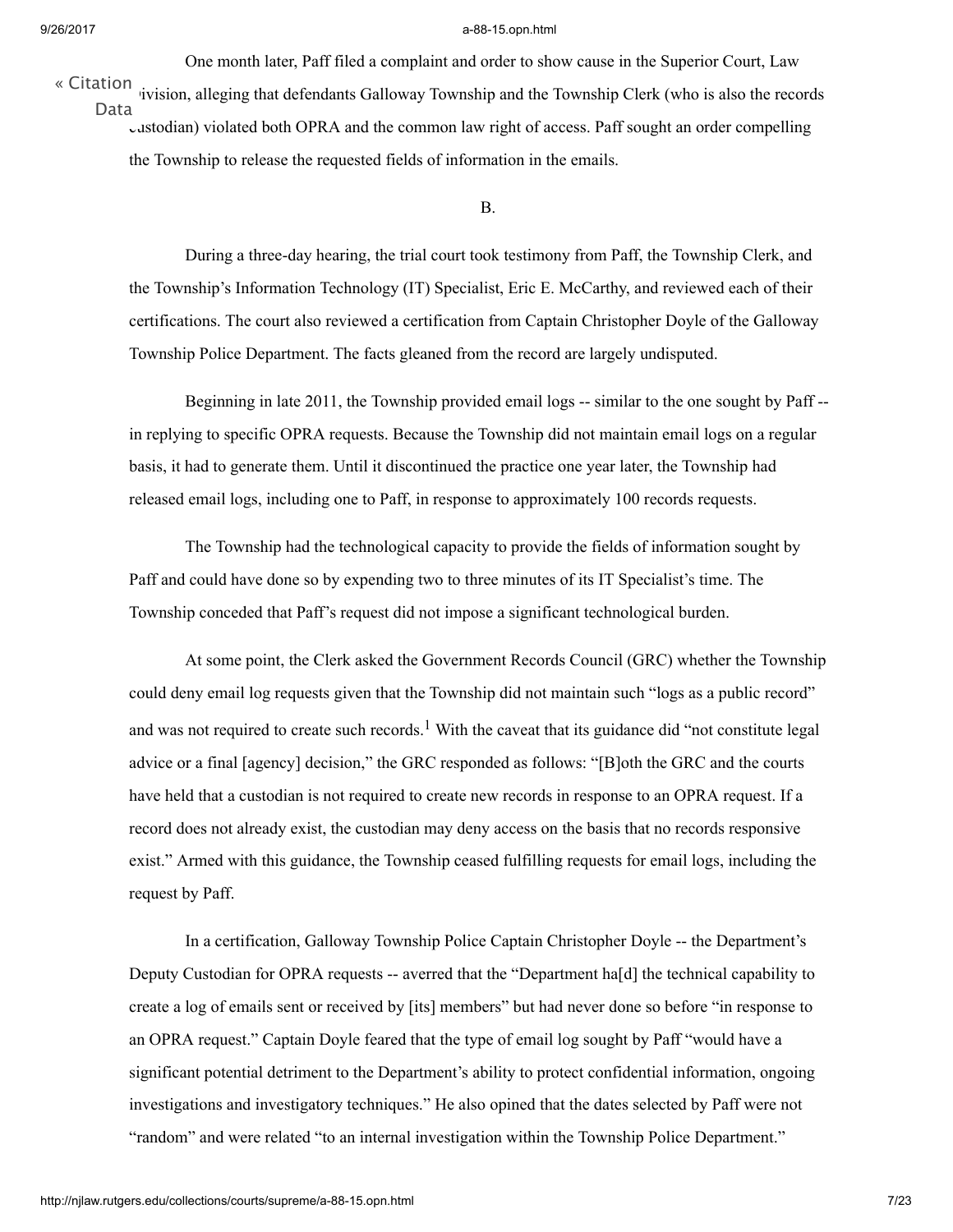One month later, Paff filed a complaint and order to show cause in the Superior Court, Law « [Citation](http://njlaw.rutgers.edu/cgi-bin/citation.cgi?file=/collections/courts/supreme/a-88-15.opn.html) *ivision*, alleging that defendants Galloway Township and the Township Clerk (who is also the records custodian) violated both OPRA and the common law right of access. Paff sought an order compelling the Township to release the requested fields of information in the emails. Data

B.

During a three-day hearing, the trial court took testimony from Paff, the Township Clerk, and the Township's Information Technology (IT) Specialist, Eric E. McCarthy, and reviewed each of their certifications. The court also reviewed a certification from Captain Christopher Doyle of the Galloway Township Police Department. The facts gleaned from the record are largely undisputed.

Beginning in late 2011, the Township provided email logs -- similar to the one sought by Paff - in replying to specific OPRA requests. Because the Township did not maintain email logs on a regular basis, it had to generate them. Until it discontinued the practice one year later, the Township had released email logs, including one to Paff, in response to approximately 100 records requests.

The Township had the technological capacity to provide the fields of information sought by Paff and could have done so by expending two to three minutes of its IT Specialist's time. The Township conceded that Paff's request did not impose a significant technological burden.

<span id="page-6-0"></span>At some point, the Clerk asked the Government Records Council (GRC) whether the Township could deny email log requests given that the Township did not maintain such "logs as a public record" and was not required to create such records.<sup>[1](#page-16-0)</sup> With the caveat that its guidance did "not constitute legal advice or a final [agency] decision," the GRC responded as follows: "[B]oth the GRC and the courts have held that a custodian is not required to create new records in response to an OPRA request. If a record does not already exist, the custodian may deny access on the basis that no records responsive exist." Armed with this guidance, the Township ceased fulfilling requests for email logs, including the request by Paff.

In a certification, Galloway Township Police Captain Christopher Doyle -- the Department's Deputy Custodian for OPRA requests -- averred that the "Department ha[d] the technical capability to create a log of emails sent or received by [its] members" but had never done so before "in response to an OPRA request." Captain Doyle feared that the type of email log sought by Paff "would have a significant potential detriment to the Department's ability to protect confidential information, ongoing investigations and investigatory techniques." He also opined that the dates selected by Paff were not "random" and were related "to an internal investigation within the Township Police Department."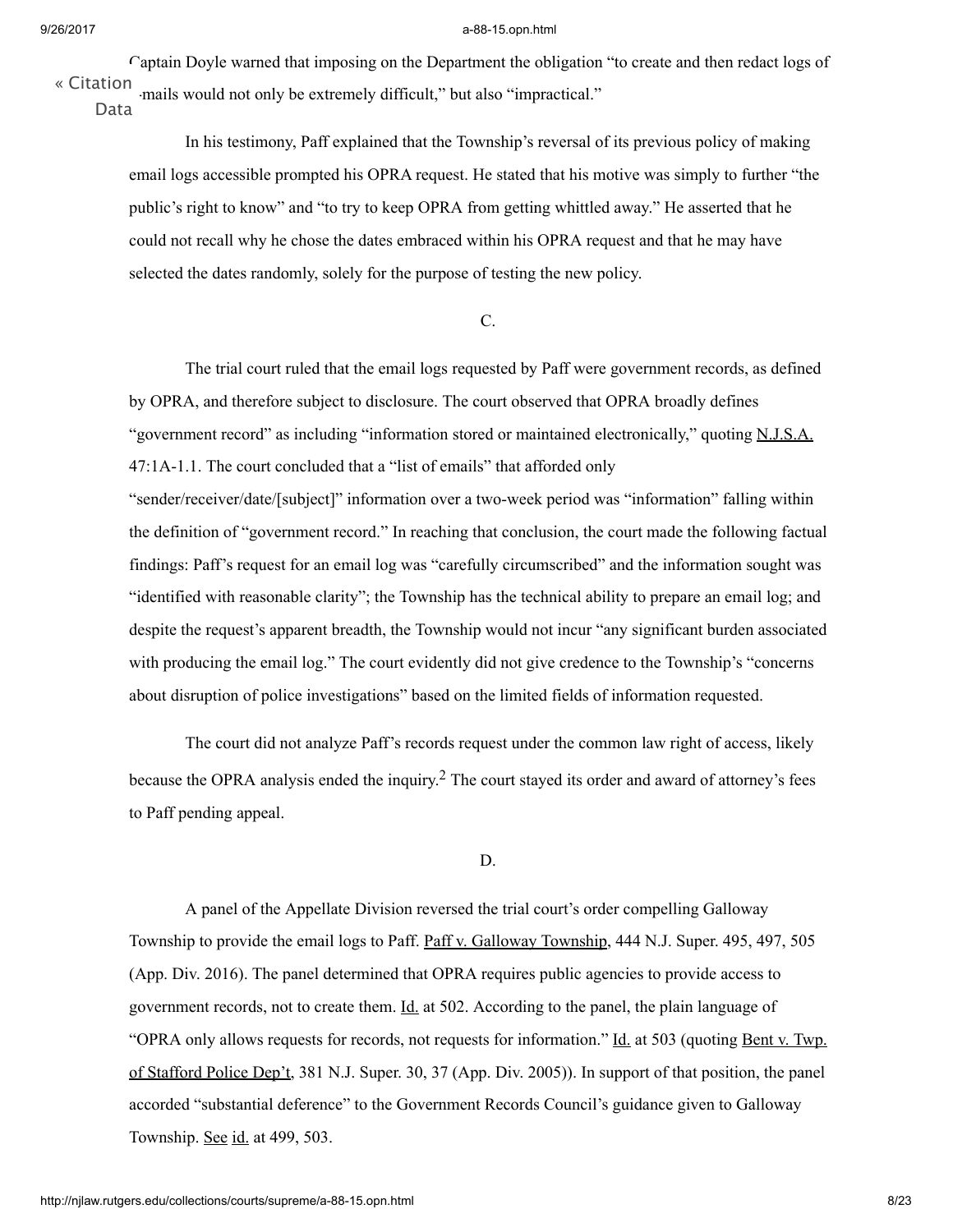Captain Doyle warned that imposing on the Department the obligation "to create and then redact logs of e-mails would not only be extremely difficult," but also "impractical." « [Citation](http://njlaw.rutgers.edu/cgi-bin/citation.cgi?file=/collections/courts/supreme/a-88-15.opn.html)

Data

In his testimony, Paff explained that the Township's reversal of its previous policy of making email logs accessible prompted his OPRA request. He stated that his motive was simply to further "the public's right to know" and "to try to keep OPRA from getting whittled away." He asserted that he could not recall why he chose the dates embraced within his OPRA request and that he may have selected the dates randomly, solely for the purpose of testing the new policy.

## C.

The trial court ruled that the email logs requested by Paff were government records, as defined by OPRA, and therefore subject to disclosure. The court observed that OPRA broadly defines "government record" as including "information stored or maintained electronically," quoting [N.J.S.A.](http://njlaw.rutgers.edu/cgi-bin/njstats/showsect.cgi?title=47&chapter=1A§ion=1&actn=getsect) [47:1A-1.1.](http://njlaw.rutgers.edu/cgi-bin/njstats/showsect.cgi?title=47&chapter=1A§ion=1&actn=getsect) The court concluded that a "list of emails" that afforded only

"sender/receiver/date/[subject]" information over a two-week period was "information" falling within the definition of "government record." In reaching that conclusion, the court made the following factual findings: Paff's request for an email log was "carefully circumscribed" and the information sought was "identified with reasonable clarity"; the Township has the technical ability to prepare an email log; and despite the request's apparent breadth, the Township would not incur "any significant burden associated with producing the email log." The court evidently did not give credence to the Township's "concerns" about disruption of police investigations" based on the limited fields of information requested.

The court did not analyze Paff's records request under the common law right of access, likely because the OPRA analysis ended the inquiry.<sup>[2](#page-17-0)</sup> The court stayed its order and award of attorney's fees to Paff pending appeal.

#### <span id="page-7-0"></span>D.

A panel of the Appellate Division reversed the trial court's order compelling Galloway Township to provide the email logs to Paff. Paff v. Galloway Township, 444 N.J. [Super.](http://njlaw.rutgers.edu/cgi-bin/caselink.cgi?cite=444%20N.J.Super.%20495) 495, 497, 505 (App. Div. 2016). The panel determined that OPRA requires public agencies to provide access to government records, not to create them. <u>Id.</u> at 502. According to the panel, the plain language of "OPRA only allows requests for records, not requests for information." Id. at 503 (quoting Bent v. Twp. of Stafford Police Dep't, 381 N.J. [Super.](http://njlaw.rutgers.edu/cgi-bin/caselink.cgi?cite=381%20N.J.Super.%2030) 30, 37 (App. Div. 2005)). In support of that position, the panel accorded "substantial deference" to the Government Records Council's guidance given to Galloway Township. See id. at 499, 503.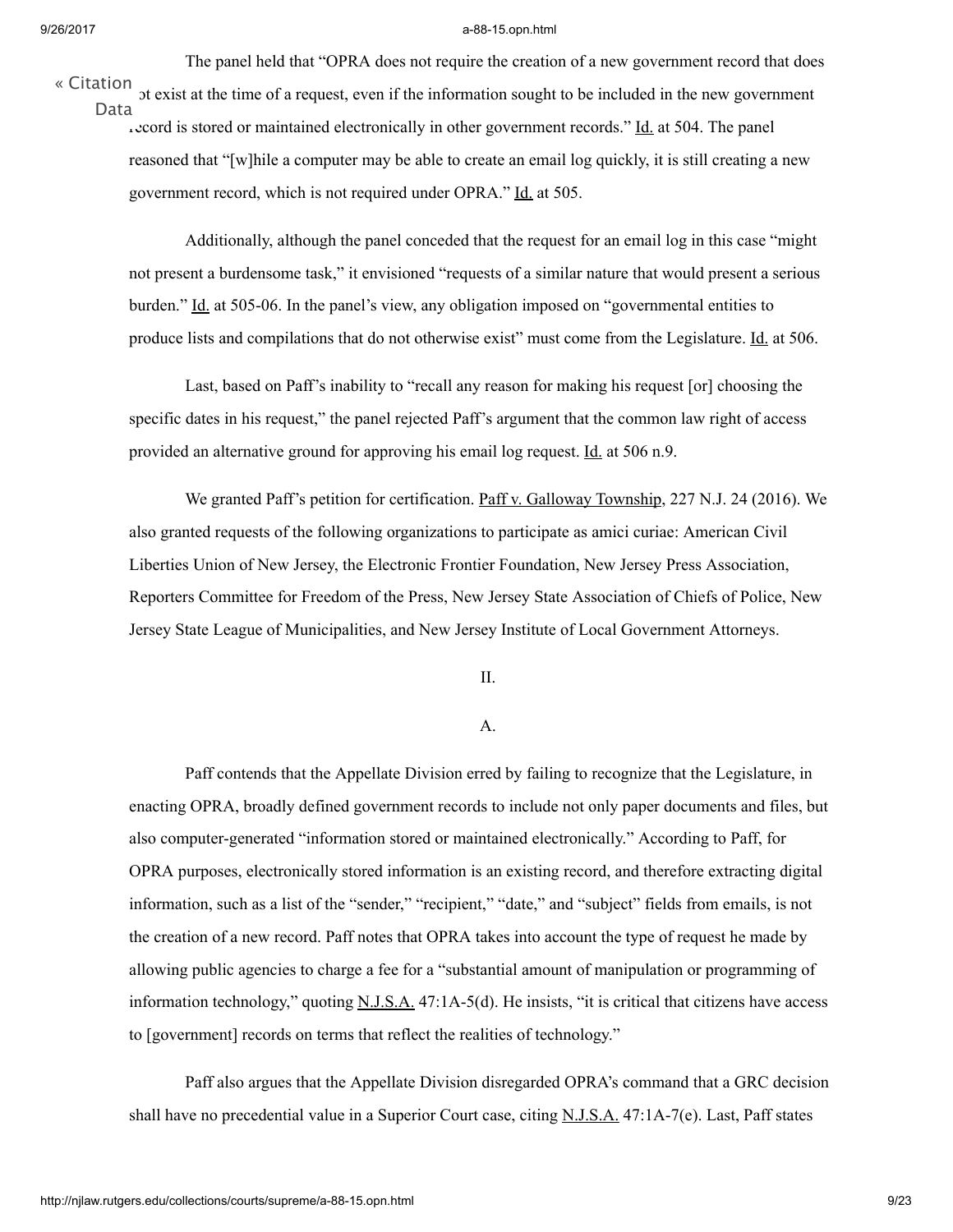The panel held that "OPRA does not require the creation of a new government record that does

« [Citation](http://njlaw.rutgers.edu/cgi-bin/citation.cgi?file=/collections/courts/supreme/a-88-15.opn.html)

not exist at the time of a request, even if the information sought to be included in the new government record is stored or maintained electronically in other government records." Id. at 504. The panel reasoned that "[w]hile a computer may be able to create an email log quickly, it is still creating a new government record, which is not required under OPRA." Id. at 505. Data

Additionally, although the panel conceded that the request for an email log in this case "might not present a burdensome task," it envisioned "requests of a similar nature that would present a serious burden." Id. at 505-06. In the panel's view, any obligation imposed on "governmental entities to produce lists and compilations that do not otherwise exist" must come from the Legislature. Id. at 506.

Last, based on Paff's inability to "recall any reason for making his request [or] choosing the specific dates in his request," the panel rejected Paff's argument that the common law right of access provided an alternative ground for approving his email log request. Id. at 506 n.9.

We granted Paff's petition for certification. Paff v. Galloway Township, 227 [N.J.](http://njlaw.rutgers.edu/cgi-bin/caselink.cgi?cite=227%20N.J.%2024) 24 (2016). We also granted requests of the following organizations to participate as amici curiae: American Civil Liberties Union of New Jersey, the Electronic Frontier Foundation, New Jersey Press Association, Reporters Committee for Freedom of the Press, New Jersey State Association of Chiefs of Police, New Jersey State League of Municipalities, and New Jersey Institute of Local Government Attorneys.

II.

## A.

Paff contends that the Appellate Division erred by failing to recognize that the Legislature, in enacting OPRA, broadly defined government records to include not only paper documents and files, but also computer-generated "information stored or maintained electronically." According to Paff, for OPRA purposes, electronically stored information is an existing record, and therefore extracting digital information, such as a list of the "sender," "recipient," "date," and "subject" fields from emails, is not the creation of a new record. Paff notes that OPRA takes into account the type of request he made by allowing public agencies to charge a fee for a "substantial amount of manipulation or programming of information technology," quoting  $N.J.S.A.$  [47:1A-5\(d\).](http://njlaw.rutgers.edu/cgi-bin/njstats/showsect.cgi?title=47&chapter=1A§ion=5&actn=getsect) He insists, "it is critical that citizens have access to [government] records on terms that reflect the realities of technology."

Paff also argues that the Appellate Division disregarded OPRA's command that a GRC decision shall have no precedential value in a Superior Court case, citing [N.J.S.A.](http://njlaw.rutgers.edu/cgi-bin/njstats/showsect.cgi?title=47&chapter=1A§ion=7&actn=getsect) [47:1A-7\(e\).](http://njlaw.rutgers.edu/cgi-bin/njstats/showsect.cgi?title=47&chapter=1A§ion=7&actn=getsect) Last, Paff states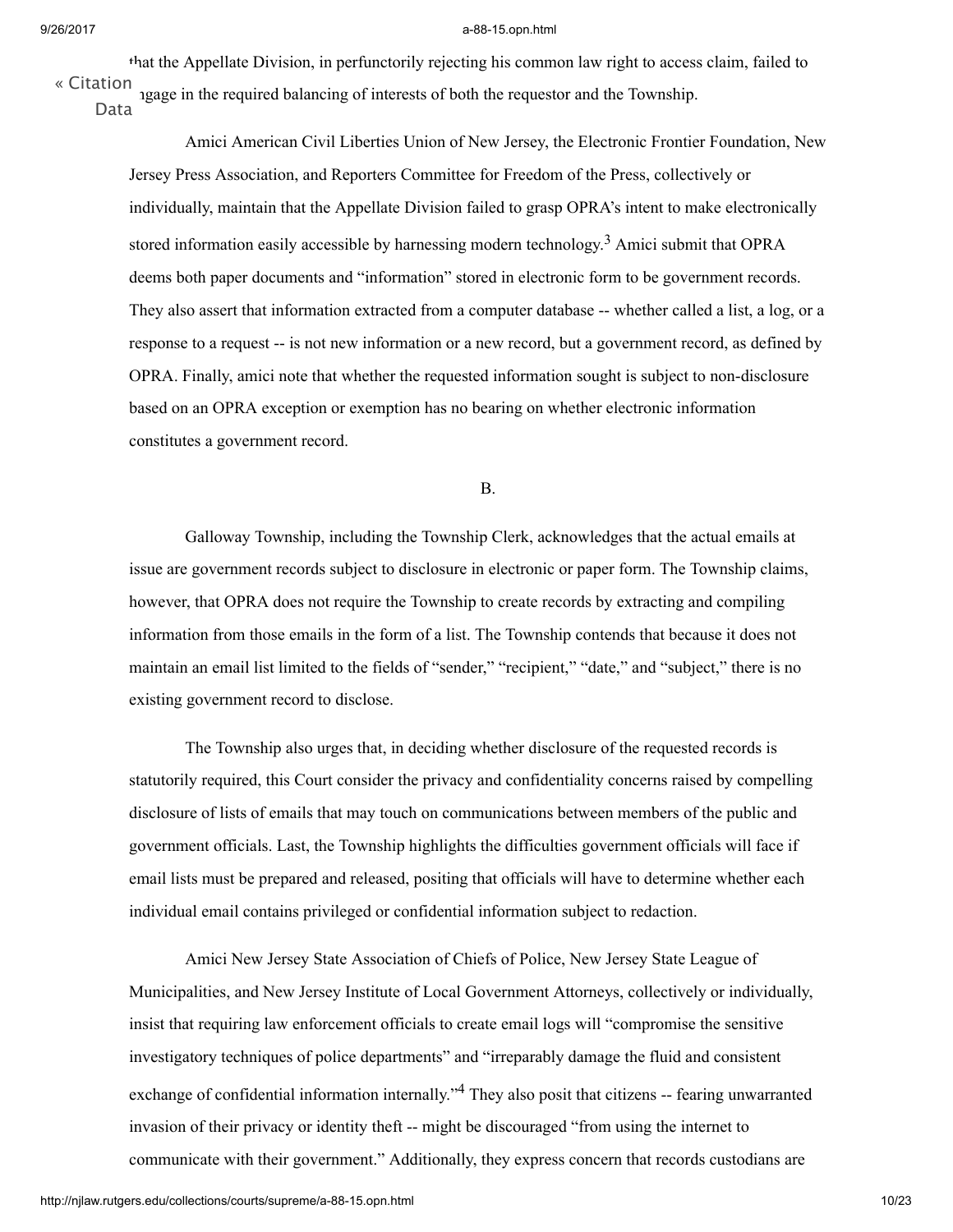that the Appellate Division, in perfunctorily rejecting his common law right to access claim, failed to ngage in the required balancing of interests of both the requestor and the Township. « [Citation](http://njlaw.rutgers.edu/cgi-bin/citation.cgi?file=/collections/courts/supreme/a-88-15.opn.html)

Data

Amici American Civil Liberties Union of New Jersey, the Electronic Frontier Foundation, New Jersey Press Association, and Reporters Committee for Freedom of the Press, collectively or individually, maintain that the Appellate Division failed to grasp OPRA's intent to make electronically stored information easily accessible by harnessing modern technology.<sup>[3](#page-18-0)</sup> Amici submit that OPRA deems both paper documents and "information" stored in electronic form to be government records. They also assert that information extracted from a computer database -- whether called a list, a log, or a response to a request -- is not new information or a new record, but a government record, as defined by OPRA. Finally, amici note that whether the requested information sought is subject to non-disclosure based on an OPRA exception or exemption has no bearing on whether electronic information constitutes a government record.

<span id="page-9-0"></span>B.

Galloway Township, including the Township Clerk, acknowledges that the actual emails at issue are government records subject to disclosure in electronic or paper form. The Township claims, however, that OPRA does not require the Township to create records by extracting and compiling information from those emails in the form of a list. The Township contends that because it does not maintain an email list limited to the fields of "sender," "recipient," "date," and "subject," there is no existing government record to disclose.

The Township also urges that, in deciding whether disclosure of the requested records is statutorily required, this Court consider the privacy and confidentiality concerns raised by compelling disclosure of lists of emails that may touch on communications between members of the public and government officials. Last, the Township highlights the difficulties government officials will face if email lists must be prepared and released, positing that officials will have to determine whether each individual email contains privileged or confidential information subject to redaction.

<span id="page-9-1"></span>Amici New Jersey State Association of Chiefs of Police, New Jersey State League of Municipalities, and New Jersey Institute of Local Government Attorneys, collectively or individually, insist that requiring law enforcement officials to create email logs will "compromise the sensitive investigatory techniques of police departments" and "irreparably damage the fluid and consistent exchange of confidential information internally."<sup>[4](#page-19-0)</sup> They also posit that citizens -- fearing unwarranted invasion of their privacy or identity theft -- might be discouraged "from using the internet to communicate with their government." Additionally, they express concern that records custodians are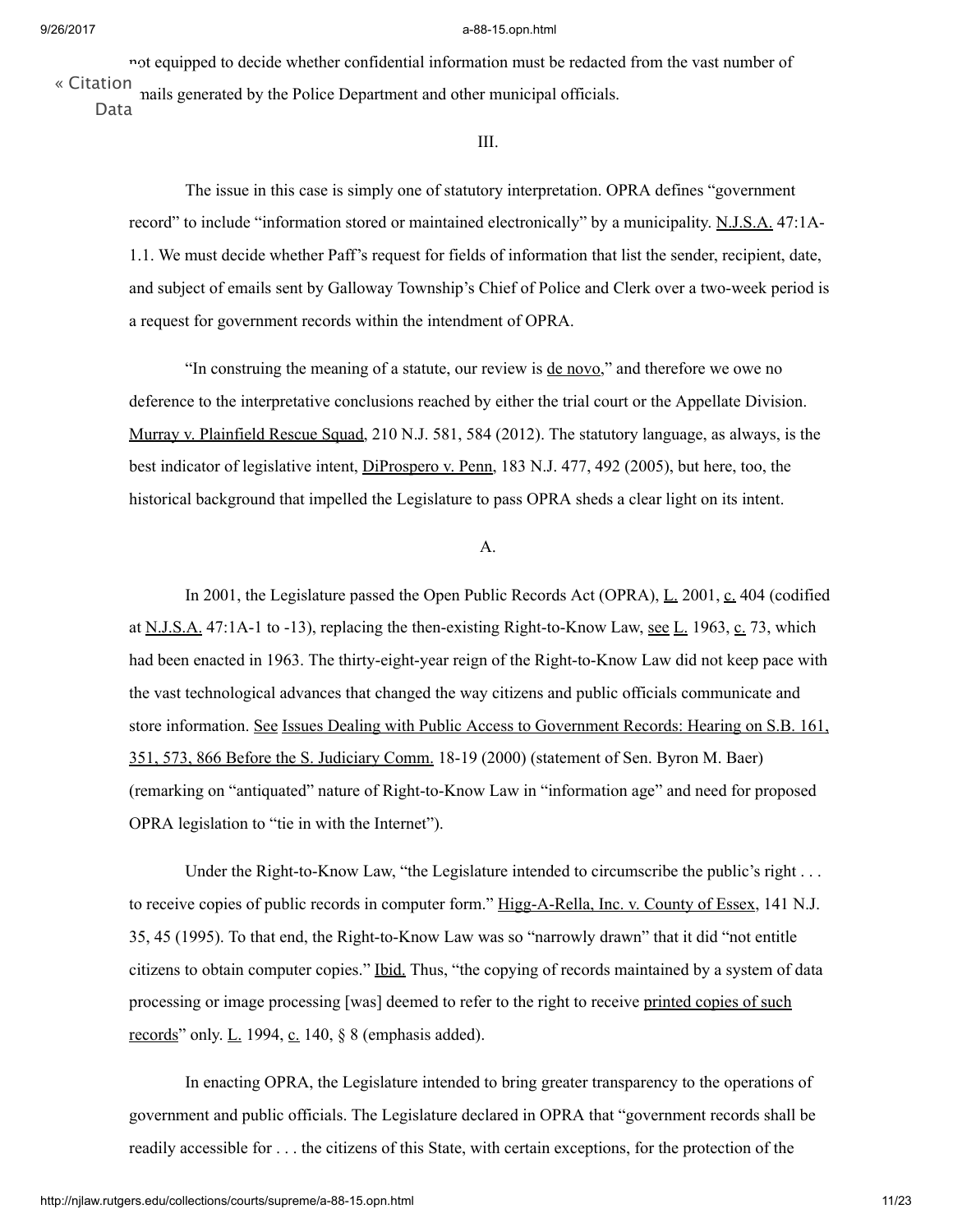not equipped to decide whether confidential information must be redacted from the vast number of mails generated by the Police Department and other municipal officials. « [Citation](http://njlaw.rutgers.edu/cgi-bin/citation.cgi?file=/collections/courts/supreme/a-88-15.opn.html) Data

III.

The issue in this case is simply one of statutory interpretation. OPRA defines "government record" to include "information stored or maintained [electronically"](http://njlaw.rutgers.edu/cgi-bin/njstats/showsect.cgi?title=47&chapter=1A§ion=1&actn=getsect) by a municipality. [N.J.S.A.](http://njlaw.rutgers.edu/cgi-bin/njstats/showsect.cgi?title=47&chapter=1A§ion=1&actn=getsect) 47:1A-1.1. We must decide whether Paff's request for fields of information that list the sender, recipient, date, and subject of emails sent by Galloway Township's Chief of Police and Clerk over a two-week period is a request for government records within the intendment of OPRA.

"In construing the meaning of a statute, our review is de novo," and therefore we owe no deference to the interpretative conclusions reached by either the trial court or the Appellate Division. Murray v. Plainfield Rescue Squad, 210 [N.J.](http://njlaw.rutgers.edu/cgi-bin/caselink.cgi?cite=210%20N.J.%20581) 581, 584 (2012). The statutory language, as always, is the best indicator of legislative intent, DiProspero v. Penn, 183 [N.J.](http://njlaw.rutgers.edu/cgi-bin/caselink.cgi?cite=183%20N.J.%20477) 477, 492 (2005), but here, too, the historical background that impelled the Legislature to pass OPRA sheds a clear light on its intent.

## A.

In 2001, the Legislature passed the Open Public Records Act (OPRA), L. 2001, c. 404 (codified at [N.J.S.A.](http://njlaw.rutgers.edu/cgi-bin/njstats/showsect.cgi?title=47&chapter=1A§ion=1&actn=getsect) [47:1A-1](http://njlaw.rutgers.edu/cgi-bin/njstats/showsect.cgi?title=47&chapter=1A§ion=1&actn=getsect) to -13), replacing the then-existing Right-to-Know Law, <u>see L.</u> 1963, c. 73, which had been enacted in 1963. The thirty-eight-year reign of the Right-to-Know Law did not keep pace with the vast technological advances that changed the way citizens and public officials communicate and store information. See Issues Dealing with Public Access to Government Records: Hearing on S.B. 161, 351, 573, 866 Before the S. Judiciary Comm. 18-19 (2000) (statement of Sen. Byron M. Baer) (remarking on "antiquated" nature of Right-to-Know Law in "information age" and need for proposed OPRA legislation to "tie in with the Internet").

Under the Right-to-Know Law, "the Legislature intended to circumscribe the public's right . . . to receive copies of public records in computer form." Higg-A-Rella, Inc. v. County of Essex, 141 N.J. 35, 45 (1995). To that end, the [Right-to-Know](http://njlaw.rutgers.edu/cgi-bin/caselink.cgi?cite=141%20N.J.%2035) Law was so "narrowly drawn" that it did "not entitle citizens to obtain computer copies." Ibid. Thus, "the copying of records maintained by a system of data processing or image processing [was] deemed to refer to the right to receive printed copies of such records" only.  $L_1$  1994,  $c_1$  140,  $\S$  8 (emphasis added).

In enacting OPRA, the Legislature intended to bring greater transparency to the operations of government and public officials. The Legislature declared in OPRA that "government records shall be readily accessible for . . . the citizens of this State, with certain exceptions, for the protection of the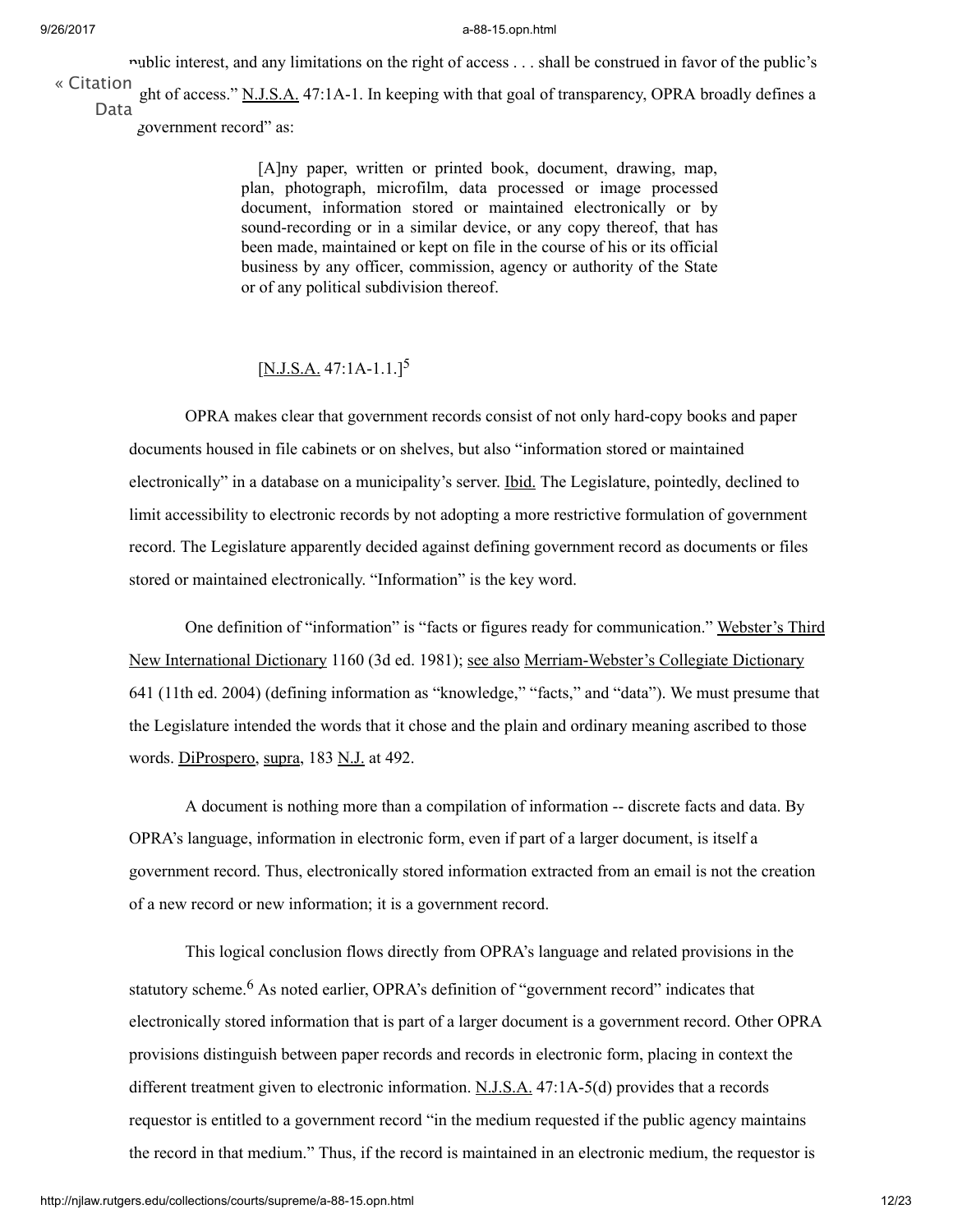public interest, and any limitations on the right of access . . . shall be construed in favor of the public's ght of access." [N.J.S.A.](http://njlaw.rutgers.edu/cgi-bin/njstats/showsect.cgi?title=47&chapter=1A§ion=1&actn=getsect) [47:1A-1.](http://njlaw.rutgers.edu/cgi-bin/njstats/showsect.cgi?title=47&chapter=1A§ion=1&actn=getsect) In keeping with that goal of transparency, OPRA broadly defines a « [Citation](http://njlaw.rutgers.edu/cgi-bin/citation.cgi?file=/collections/courts/supreme/a-88-15.opn.html) Data

government record" as:

[A]ny paper, written or printed book, document, drawing, map, plan, photograph, microfilm, data processed or image processed document, information stored or maintained electronically or by sound-recording or in a similar device, or any copy thereof, that has been made, maintained or kept on file in the course of his or its official business by any officer, commission, agency or authority of the State or of any political subdivision thereof.

## <span id="page-11-0"></span> $[N.J.S.A. 47:1A-1.1]^{5}$  $[N.J.S.A. 47:1A-1.1]^{5}$  $[N.J.S.A. 47:1A-1.1]^{5}$

OPRA makes clear that government records consist of not only hard-copy books and paper documents housed in file cabinets or on shelves, but also "information stored or maintained electronically" in a database on a municipality's server. <u>Ibid.</u> The Legislature, pointedly, declined to limit accessibility to electronic records by not adopting a more restrictive formulation of government record. The Legislature apparently decided against defining government record as documents or files stored or maintained electronically. "Information" is the key word.

One definition of "information" is "facts or figures ready for communication." Webster's Third New International Dictionary 1160 (3d ed. 1981); see also Merriam-Webster's Collegiate Dictionary 641 (11th ed. 2004) (defining information as "knowledge," "facts," and "data"). We must presume that the Legislature intended the words that it chose and the plain and ordinary meaning ascribed to those words. DiProspero, supra, 183 N.J. at 492.

A document is nothing more than a compilation of information -- discrete facts and data. By OPRA's language, information in electronic form, even if part of a larger document, is itself a government record. Thus, electronically stored information extracted from an email is not the creation of a new record or new information; it is a government record.

<span id="page-11-1"></span>This logical conclusion flows directly from OPRA's language and related provisions in the statutory scheme.<sup>[6](#page-21-0)</sup> As noted earlier, OPRA's definition of "government record" indicates that electronically stored information that is part of a larger document is a government record. Other OPRA provisions distinguish between paper records and records in electronic form, placing in context the different treatment given to electronic information.  $N_J.S.A.$  [47:1A-5\(d\)](http://njlaw.rutgers.edu/cgi-bin/njstats/showsect.cgi?title=47&chapter=1A§ion=5&actn=getsect) provides that a records requestor is entitled to a government record "in the medium requested if the public agency maintains the record in that medium." Thus, if the record is maintained in an electronic medium, the requestor is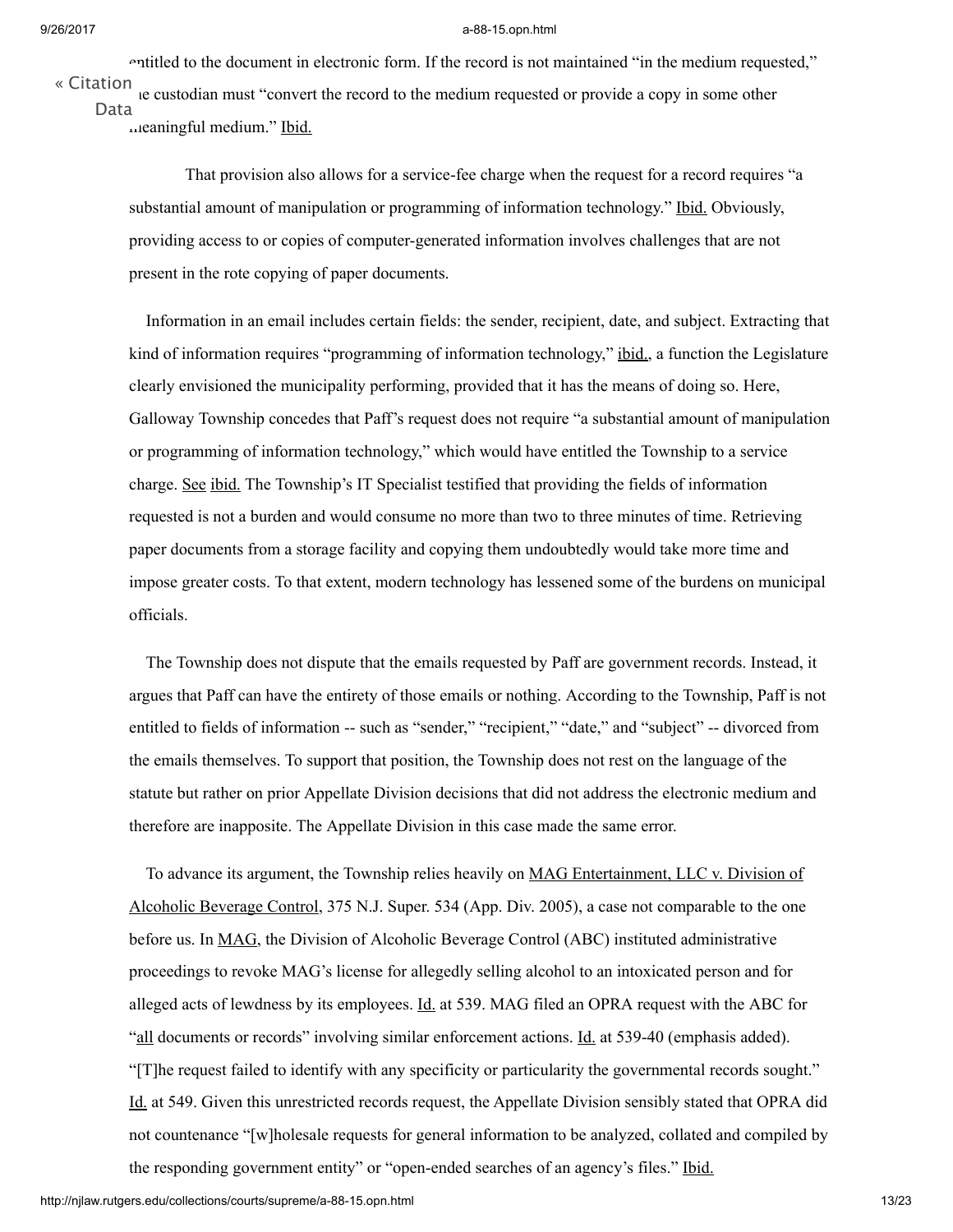entitled to the document in electronic form. If the record is not maintained "in the medium requested," the custodian must "convert the record to the medium requested or provide a copy in some other « [Citation](http://njlaw.rutgers.edu/cgi-bin/citation.cgi?file=/collections/courts/supreme/a-88-15.opn.html) Data

meaningful medium." Ibid.

That provision also allows for a service-fee charge when the request for a record requires "a substantial amount of manipulation or programming of information technology." Ibid. Obviously, providing access to or copies of computer-generated information involves challenges that are not present in the rote copying of paper documents.

Information in an email includes certain fields: the sender, recipient, date, and subject. Extracting that kind of information requires "programming of information technology," ibid., a function the Legislature clearly envisioned the municipality performing, provided that it has the means of doing so. Here, Galloway Township concedes that Paff's request does not require "a substantial amount of manipulation or programming of information technology," which would have entitled the Township to a service charge. See ibid. The Township's IT Specialist testified that providing the fields of information requested is not a burden and would consume no more than two to three minutes of time. Retrieving paper documents from a storage facility and copying them undoubtedly would take more time and impose greater costs. To that extent, modern technology has lessened some of the burdens on municipal officials.

The Township does not dispute that the emails requested by Paff are government records. Instead, it argues that Paff can have the entirety of those emails or nothing. According to the Township, Paff is not entitled to fields of information -- such as "sender," "recipient," "date," and "subject" -- divorced from the emails themselves. To support that position, the Township does not rest on the language of the statute but rather on prior Appellate Division decisions that did not address the electronic medium and therefore are inapposite. The Appellate Division in this case made the same error.

To advance its argument, the Township relies heavily on MAG Entertainment, LLC v. Division of Alcoholic Beverage Control, 375 N.J. [Super.](http://njlaw.rutgers.edu/cgi-bin/caselink.cgi?cite=375%20N.J.Super.%20534) 534 (App. Div. 2005), a case not comparable to the one before us. In MAG, the Division of Alcoholic Beverage Control (ABC) instituted administrative proceedings to revoke MAG's license for allegedly selling alcohol to an intoxicated person and for alleged acts of lewdness by its employees. Id. at 539. MAG filed an OPRA request with the ABC for "all documents or records" involving similar enforcement actions. Id. at 539-40 (emphasis added). "[T]he request failed to identify with any specificity or particularity the governmental records sought." Id. at 549. Given this unrestricted records request, the Appellate Division sensibly stated that OPRA did not countenance "[w]holesale requests for general information to be analyzed, collated and compiled by the responding government entity" or "open-ended searches of an agency's files." Ibid.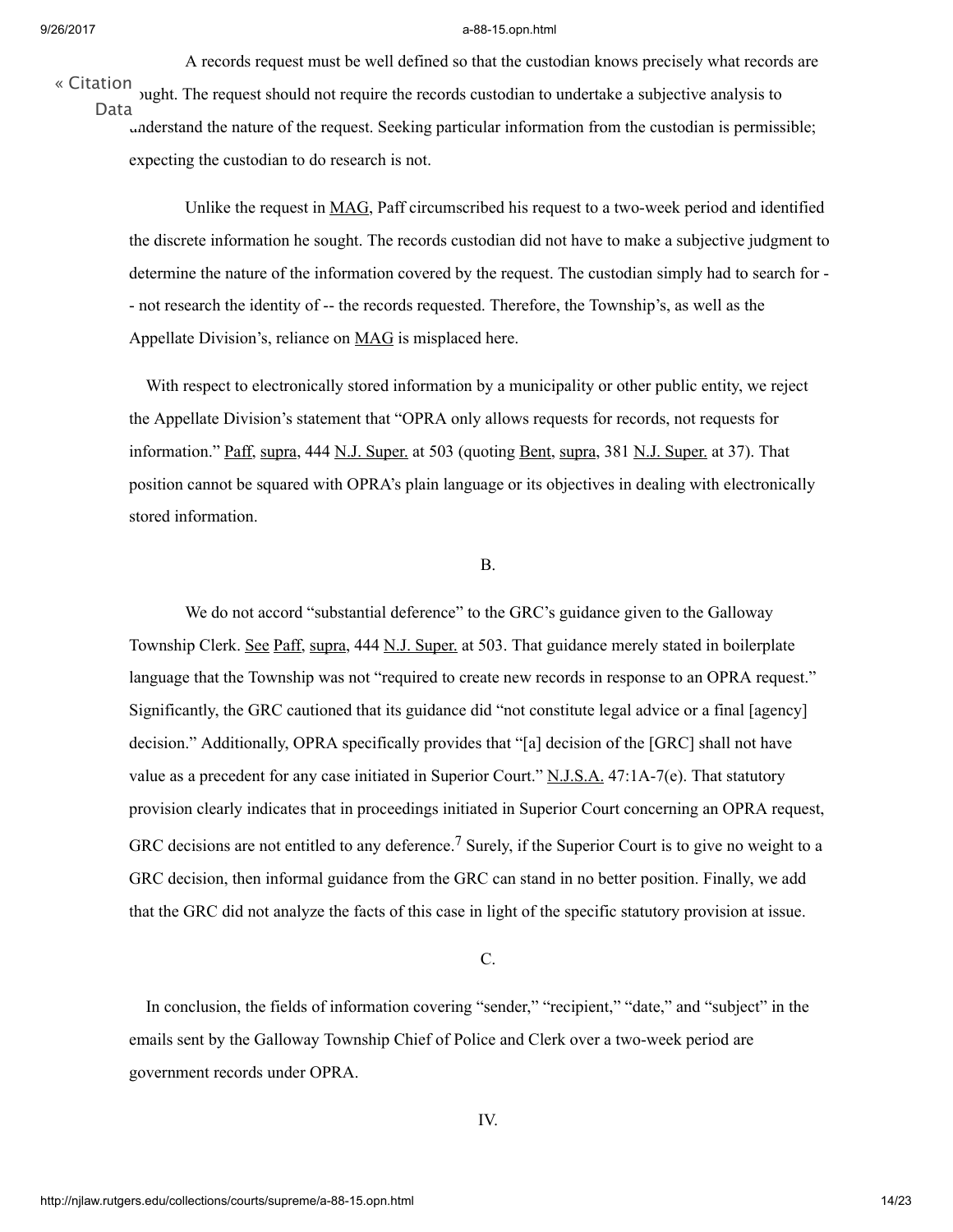A records request must be well defined so that the custodian knows precisely what records are sught. The request should not require the records custodian to undertake a subjective analysis to understand the nature of the request. Seeking particular information from the custodian is permissible; « [Citation](http://njlaw.rutgers.edu/cgi-bin/citation.cgi?file=/collections/courts/supreme/a-88-15.opn.html) Data

expecting the custodian to do research is not.

Unlike the request in MAG, Paff circumscribed his request to a two-week period and identified the discrete information he sought. The records custodian did not have to make a subjective judgment to determine the nature of the information covered by the request. The custodian simply had to search for - - not research the identity of -- the records requested. Therefore, the Township's, as well as the Appellate Division's, reliance on **MAG** is misplaced here.

With respect to electronically stored information by a municipality or other public entity, we reject the Appellate Division's statement that "OPRA only allows requests for records, not requests for information." Paff, supra, 444 N.J. Super. at 503 (quoting Bent, supra, 381 N.J. Super. at 37). That position cannot be squared with OPRA's plain language or its objectives in dealing with electronically stored information.

## B.

We do not accord "substantial deference" to the GRC's guidance given to the Galloway Township Clerk. See Paff, supra, 444 N.J. Super. at 503. That guidance merely stated in boilerplate language that the Township was not "required to create new records in response to an OPRA request." Significantly, the GRC cautioned that its guidance did "not constitute legal advice or a final [agency] decision." Additionally, OPRA specifically provides that "[a] decision of the [GRC] shall not have value as a precedent for any case initiated in Superior Court."  $N.J.S.A.$  [47:1A-7\(e\).](http://njlaw.rutgers.edu/cgi-bin/njstats/showsect.cgi?title=47&chapter=1A§ion=7&actn=getsect) That statutory provision clearly indicates that in proceedings initiated in Superior Court concerning an OPRA request, GRC decisions are not entitled to any deference.<sup>[7](#page-22-0)</sup> Surely, if the Superior Court is to give no weight to a GRC decision, then informal guidance from the GRC can stand in no better position. Finally, we add that the GRC did not analyze the facts of this case in light of the specific statutory provision at issue.

<span id="page-13-0"></span>C.

In conclusion, the fields of information covering "sender," "recipient," "date," and "subject" in the emails sent by the Galloway Township Chief of Police and Clerk over a two-week period are government records under OPRA.

IV.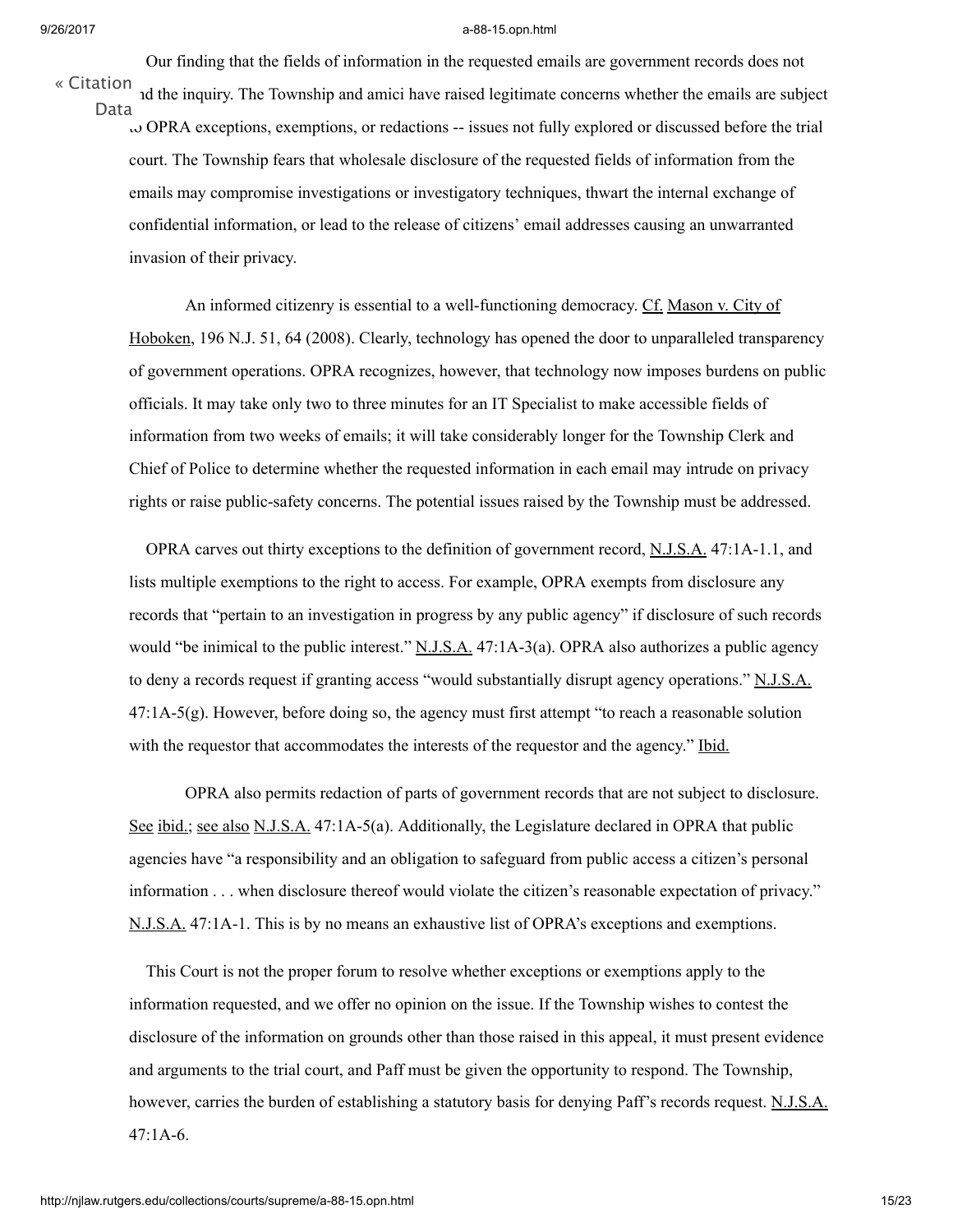« [Citation](http://njlaw.rutgers.edu/cgi-bin/citation.cgi?file=/collections/courts/supreme/a-88-15.opn.html)

ad the inquiry. The Township and amici have raised legitimate concerns whether the emails are subject  $\omega$  OPRA exceptions, exemptions, or redactions -- issues not fully explored or discussed before the trial court. The Township fears that wholesale disclosure of the requested fields of information from the emails may compromise investigations or investigatory techniques, thwart the internal exchange of confidential information, or lead to the release of citizens' email addresses causing an unwarranted invasion of their privacy. Data

Our finding that the fields of information in the requested emails are government records does not

An informed citizenry is essential to a well-functioning democracy. Cf. Mason v. City of Hoboken, 196 [N.J.](http://njlaw.rutgers.edu/cgi-bin/caselink.cgi?cite=196%20N.J.%2051) 51, 64 (2008). Clearly, technology has opened the door to unparalleled transparency of government operations. OPRA recognizes, however, that technology now imposes burdens on public officials. It may take only two to three minutes for an IT Specialist to make accessible fields of information from two weeks of emails; it will take considerably longer for the Township Clerk and Chief of Police to determine whether the requested information in each email may intrude on privacy rights or raise public-safety concerns. The potential issues raised by the Township must be addressed.

OPRA carves out thirty exceptions to the definition of government record, [N.J.S.A.](http://njlaw.rutgers.edu/cgi-bin/njstats/showsect.cgi?title=47&chapter=1A§ion=1&actn=getsect) [47:1A-1.1,](http://njlaw.rutgers.edu/cgi-bin/njstats/showsect.cgi?title=47&chapter=1A§ion=1&actn=getsect) and lists multiple exemptions to the right to access. For example, OPRA exempts from disclosure any records that "pertain to an investigation in progress by any public agency" if disclosure of such records would "be inimical to the public interest."  $N.J.S.A.$  [47:1A-3\(a\).](http://njlaw.rutgers.edu/cgi-bin/njstats/showsect.cgi?title=47&chapter=1A§ion=3&actn=getsect) OPRA also authorizes a public agency to deny a records request if granting access "would substantially disrupt agency operations." [N.J.S.A.](http://njlaw.rutgers.edu/cgi-bin/njstats/showsect.cgi?title=47&chapter=1A§ion=5&actn=getsect) [47:1A-5\(g\).](http://njlaw.rutgers.edu/cgi-bin/njstats/showsect.cgi?title=47&chapter=1A§ion=5&actn=getsect) However, before doing so, the agency must first attempt "to reach a reasonable solution with the requestor that accommodates the interests of the requestor and the agency." Ibid.

OPRA also permits redaction of parts of government records that are not subject to disclosure. See ibid.; see also [N.J.S.A.](http://njlaw.rutgers.edu/cgi-bin/njstats/showsect.cgi?title=47&chapter=1A§ion=5&actn=getsect) [47:1A-5\(a\).](http://njlaw.rutgers.edu/cgi-bin/njstats/showsect.cgi?title=47&chapter=1A§ion=5&actn=getsect) Additionally, the Legislature declared in OPRA that public agencies have "a responsibility and an obligation to safeguard from public access a citizen's personal information . . . when disclosure thereof would violate the citizen's reasonable expectation of privacy." [N.J.S.A.](http://njlaw.rutgers.edu/cgi-bin/njstats/showsect.cgi?title=47&chapter=1A§ion=1&actn=getsect) [47:1A-1.](http://njlaw.rutgers.edu/cgi-bin/njstats/showsect.cgi?title=47&chapter=1A§ion=1&actn=getsect) This is by no means an exhaustive list of OPRA's exceptions and exemptions.

This Court is not the proper forum to resolve whether exceptions or exemptions apply to the information requested, and we offer no opinion on the issue. If the Township wishes to contest the disclosure of the information on grounds other than those raised in this appeal, it must present evidence and arguments to the trial court, and Paff must be given the opportunity to respond. The Township, however, carries the burden of establishing a statutory basis for denying Paff's records request. [N.J.S.A.](http://njlaw.rutgers.edu/cgi-bin/njstats/showsect.cgi?title=47&chapter=1A§ion=6&actn=getsect) [47:1A-6.](http://njlaw.rutgers.edu/cgi-bin/njstats/showsect.cgi?title=47&chapter=1A§ion=6&actn=getsect)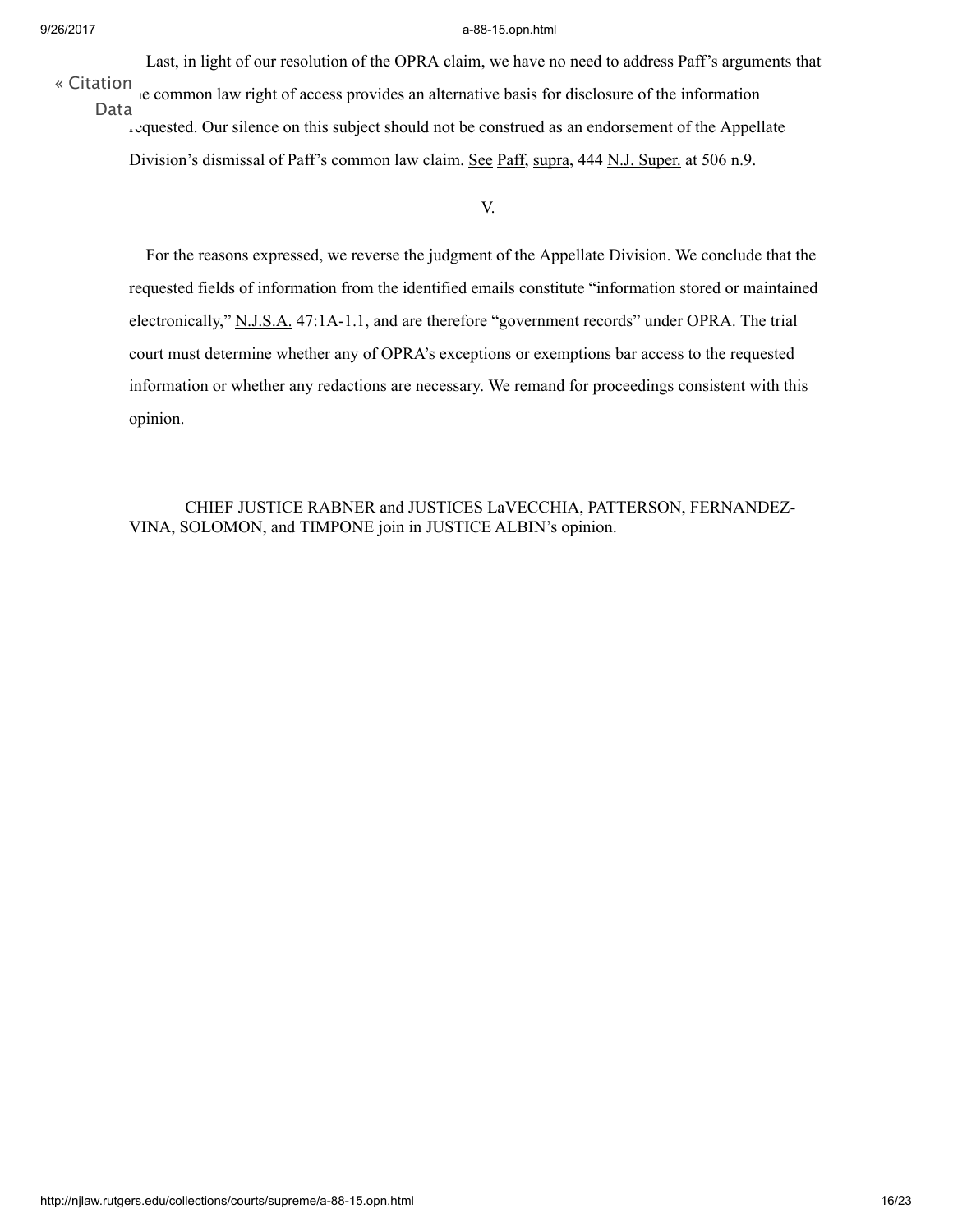Last, in light of our resolution of the OPRA claim, we have no need to address Paff's arguments that

the common law right of access provides an alternative basis for disclosure of the information requested. Our silence on this subject should not be construed as an endorsement of the Appellate Division's dismissal of Paff's common law claim. See Paff, supra, 444 N.J. Super. at 506 n.9. « [Citation](http://njlaw.rutgers.edu/cgi-bin/citation.cgi?file=/collections/courts/supreme/a-88-15.opn.html) Data

V.

For the reasons expressed, we reverse the judgment of the Appellate Division. We conclude that the requested fields of information from the identified emails constitute "information stored or maintained electronically," [N.J.S.A.](http://njlaw.rutgers.edu/cgi-bin/njstats/showsect.cgi?title=47&chapter=1A§ion=1&actn=getsect) [47:1A-1.1,](http://njlaw.rutgers.edu/cgi-bin/njstats/showsect.cgi?title=47&chapter=1A§ion=1&actn=getsect) and are therefore "government records" under OPRA. The trial court must determine whether any of OPRA's exceptions or exemptions bar access to the requested information or whether any redactions are necessary. We remand for proceedings consistent with this opinion.

CHIEF JUSTICE RABNER and JUSTICES LaVECCHIA, PATTERSON, FERNANDEZ-VINA, SOLOMON, and TIMPONE join in JUSTICE ALBIN's opinion.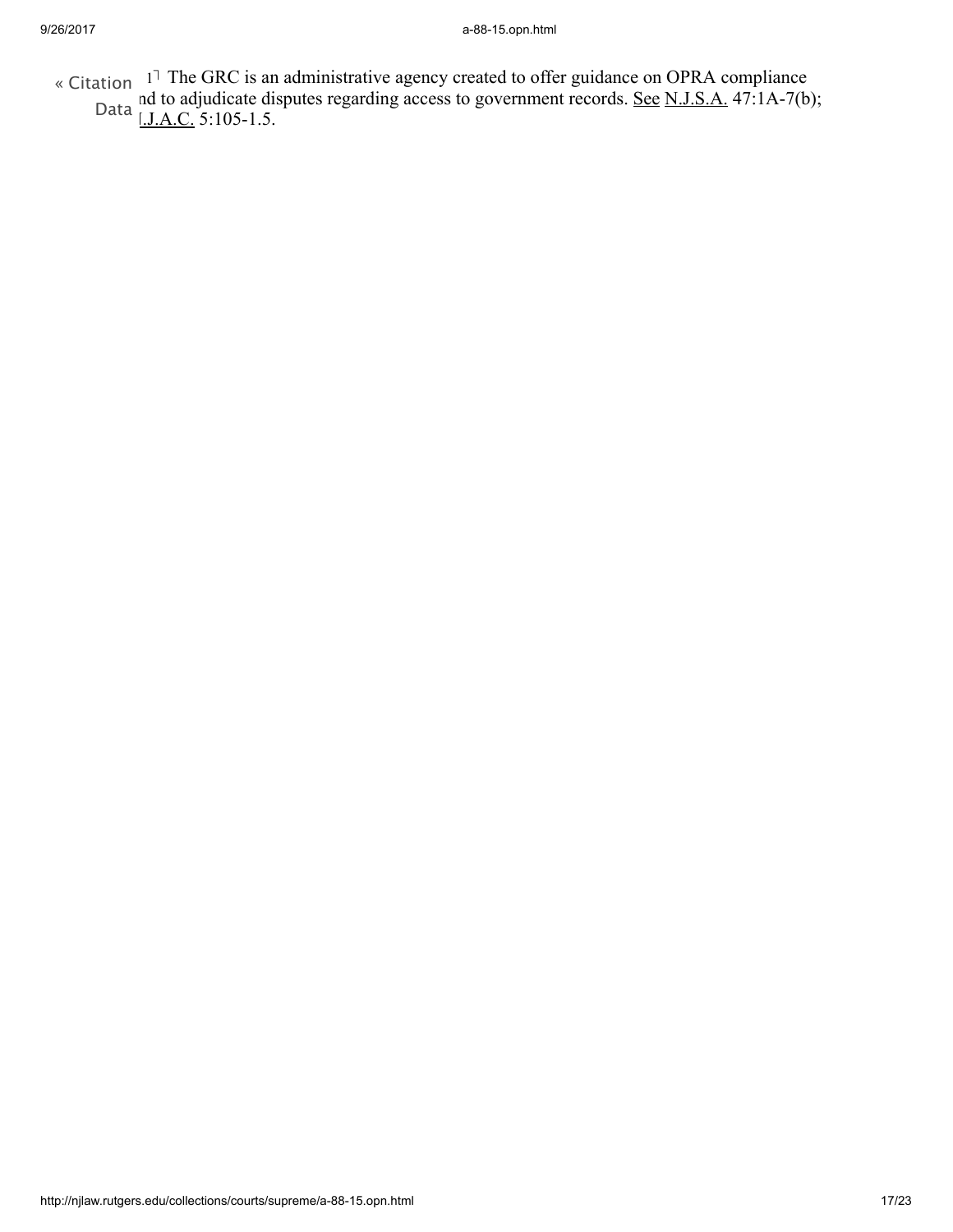- <span id="page-16-0"></span>« Citation <sup>[1](#page-6-0)7</sup> The GRC is an administrative agency created to offer guidance on OPRA compliance
	- and to adjudicate disputes regarding access to government records. See  $N.J.S.A.$  47:1A-7(b); Data [<u>J.A.C.</u> 5:105-1.5.]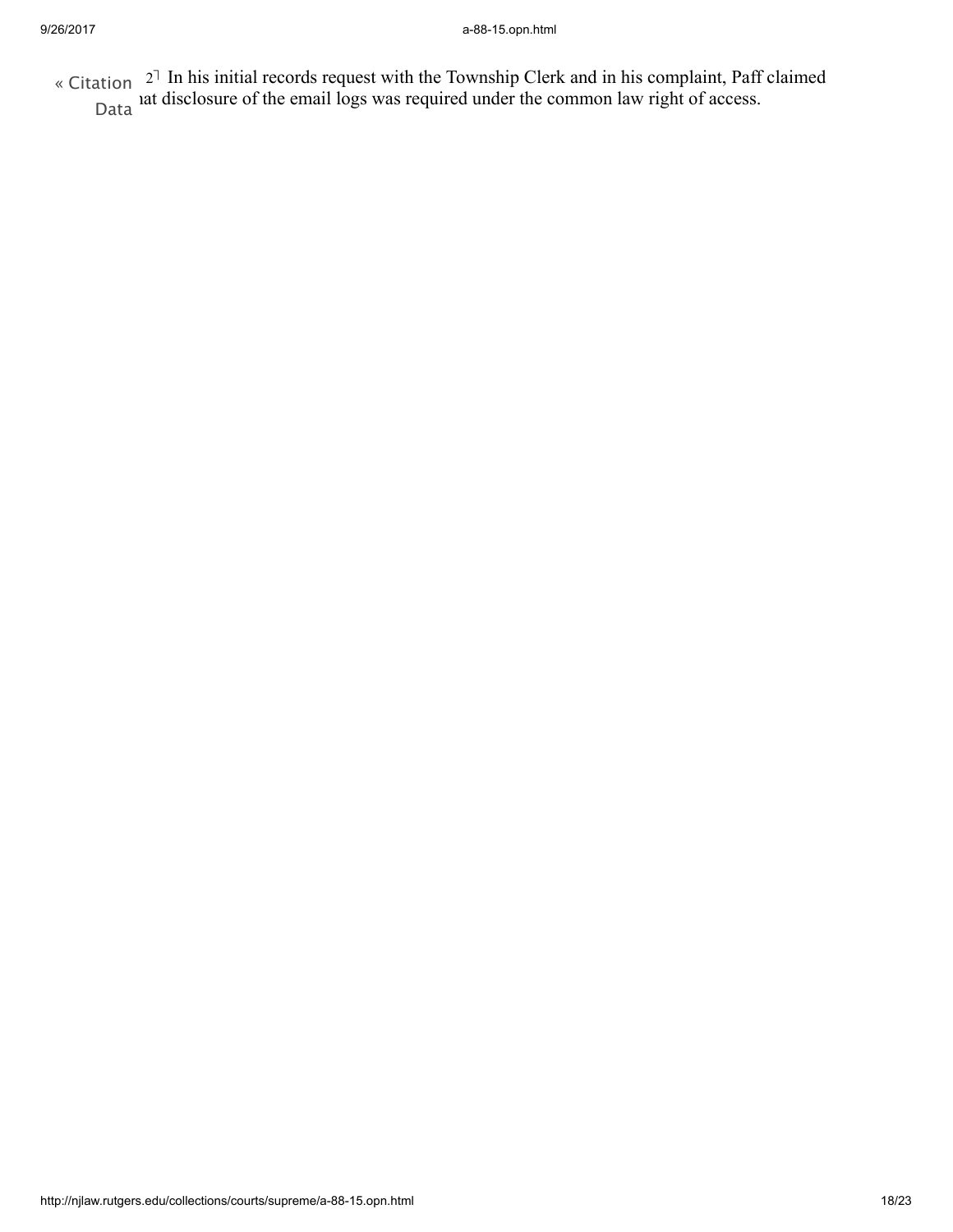<span id="page-17-0"></span>[2](#page-7-0)- In his initial records request with the Township Clerk and in his complaint, Paff claimed  $\frac{1}{2}$  at disclosure of the email logs was required under the common law right of access. Data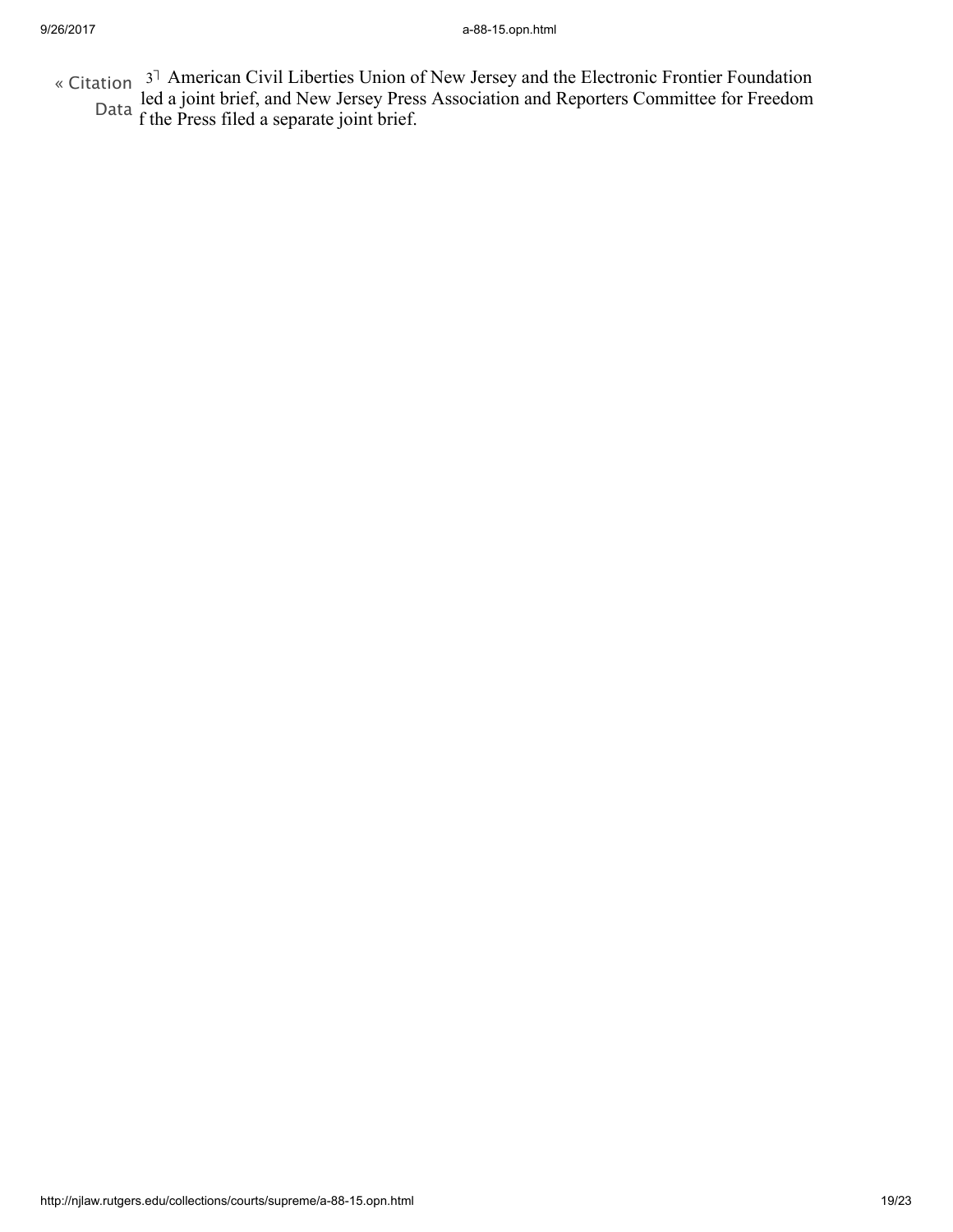<span id="page-18-0"></span>[3](#page-9-0)<sup>1</sup> American Civil Liberties Union of New Jersey and the Electronic Frontier Foundation led a joint brief, and New Jersey Press Association and Reporters Committee for Freedom f the Press filed a separate joint brief. « [Citation](http://njlaw.rutgers.edu/cgi-bin/citation.cgi?file=/collections/courts/supreme/a-88-15.opn.html) Data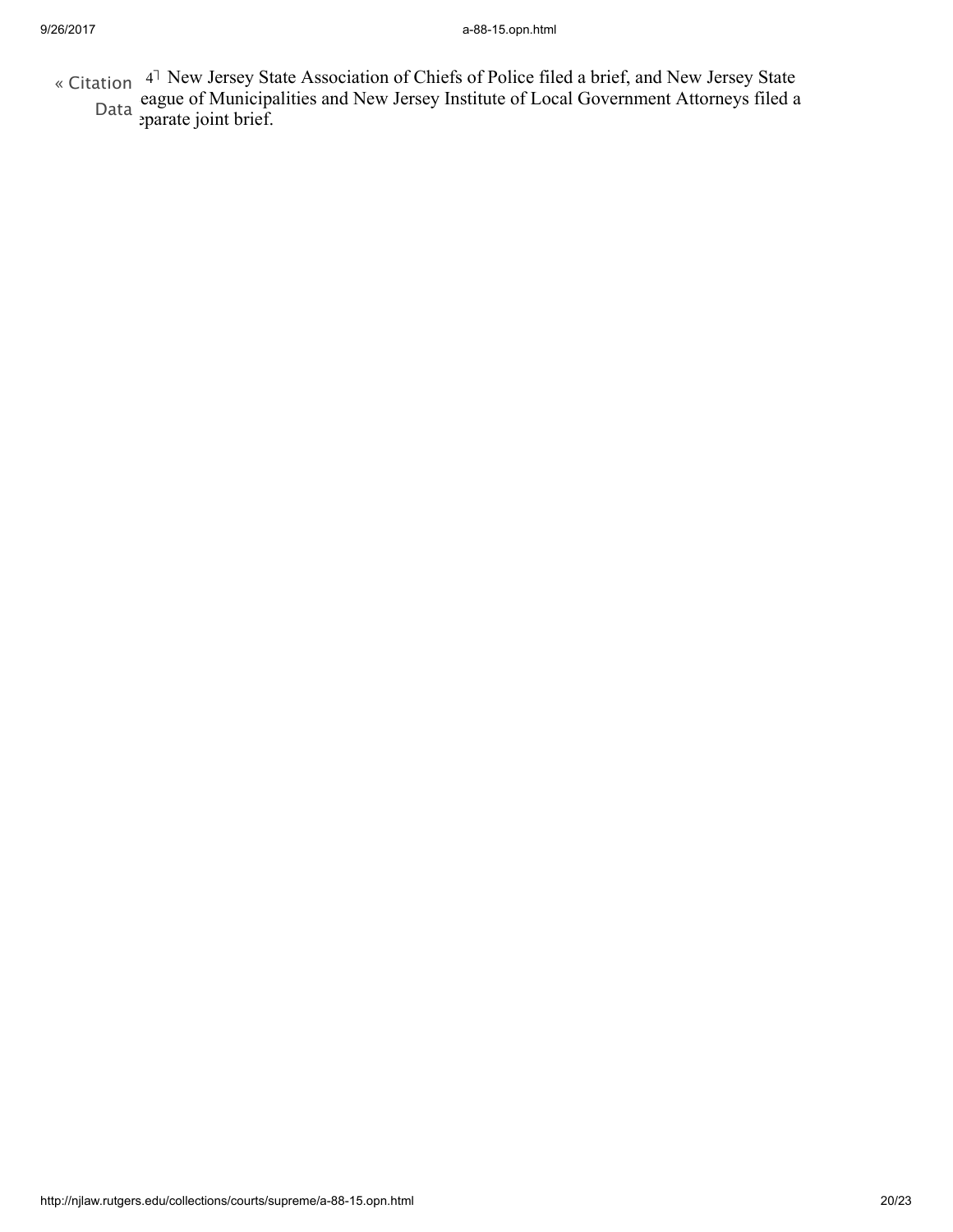- <span id="page-19-0"></span>« Citation <sup>[4](#page-9-1)</sub>7</sup> New Jersey State Association of Chiefs of Police filed a brief, and New Jersey State eague of Municipalities and New Jersey Institute of Local Government Attorneys filed a
	- separate joint brief. Data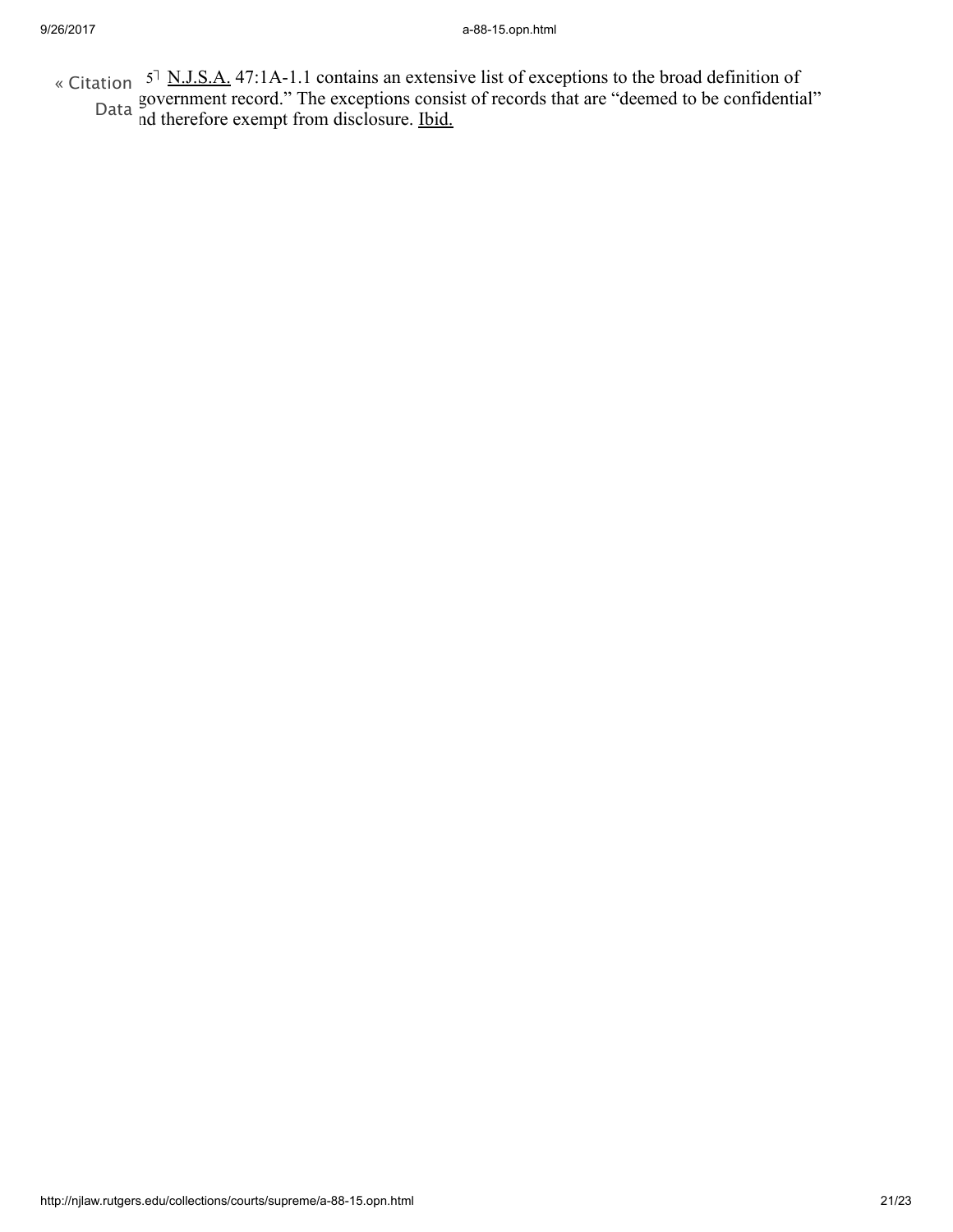<span id="page-20-0"></span>[5](#page-11-0)<sup>†</sup> N.J.S.A. 47:1A-1.1 contains an extensive list of exceptions to the broad definition of government record." The exceptions consist of records that are "deemed to be confidential" nd therefore exempt from disclosure. Ibid. « [Citation](http://njlaw.rutgers.edu/cgi-bin/citation.cgi?file=/collections/courts/supreme/a-88-15.opn.html) Data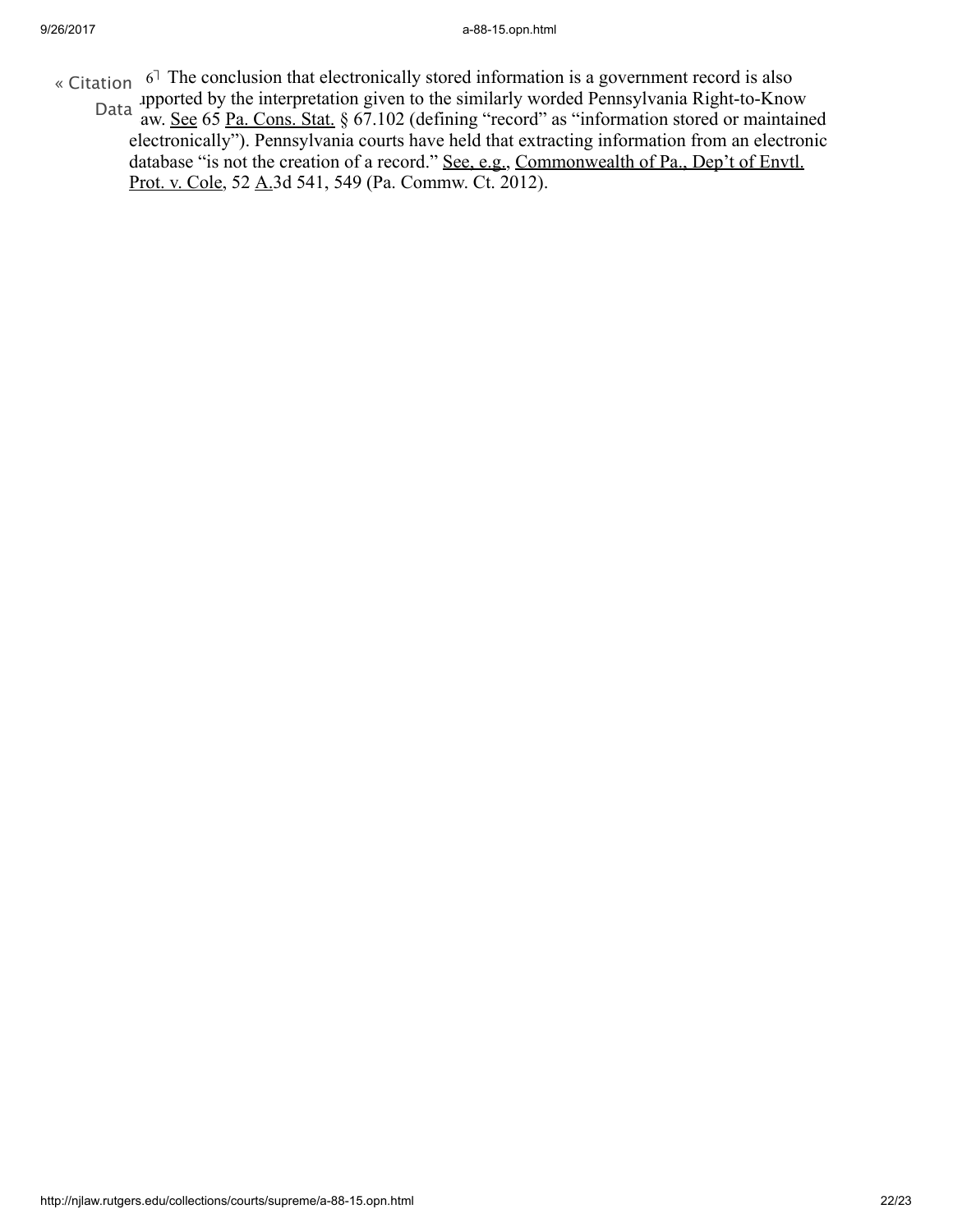- <span id="page-21-0"></span>« [Citation](http://njlaw.rutgers.edu/cgi-bin/citation.cgi?file=/collections/courts/supreme/a-88-15.opn.html)  $6^{\text{-}}$  $6^{\text{-}}$  The conclusion that electronically stored information is a government record is also
	- apported by the interpretation given to the similarly worded Pennsylvania Right-to-Know Data *Appenda by the interpretation given to the similarly worded I emisy value right to Thiow*<br>aw. <u>See</u> 65 Pa. Cons. Stat. § 67.102 (defining "record" as "information stored or maintained electronically"). Pennsylvania courts have held that extracting information from an electronic database "is not the creation of a record." See, e.g., Commonwealth of Pa., Dep't of Envtl. Prot. v. Cole, 52 A.3d 541, 549 (Pa. Commw. Ct. 2012).